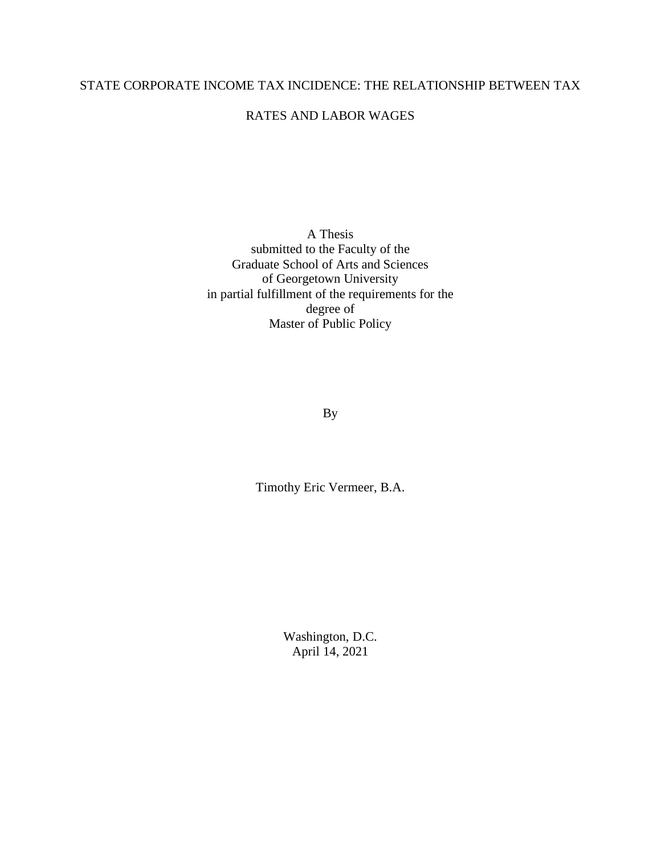### STATE CORPORATE INCOME TAX INCIDENCE: THE RELATIONSHIP BETWEEN TAX

### RATES AND LABOR WAGES

A Thesis submitted to the Faculty of the Graduate School of Arts and Sciences of Georgetown University in partial fulfillment of the requirements for the degree of Master of Public Policy

By

Timothy Eric Vermeer, B.A.

Washington, D.C. April 14, 2021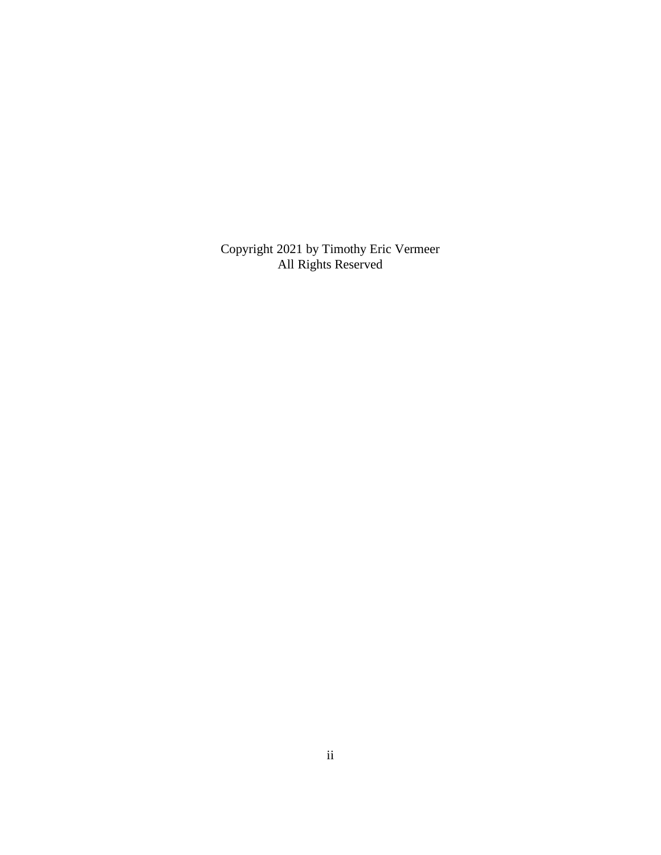Copyright 2021 by Timothy Eric Vermeer All Rights Reserved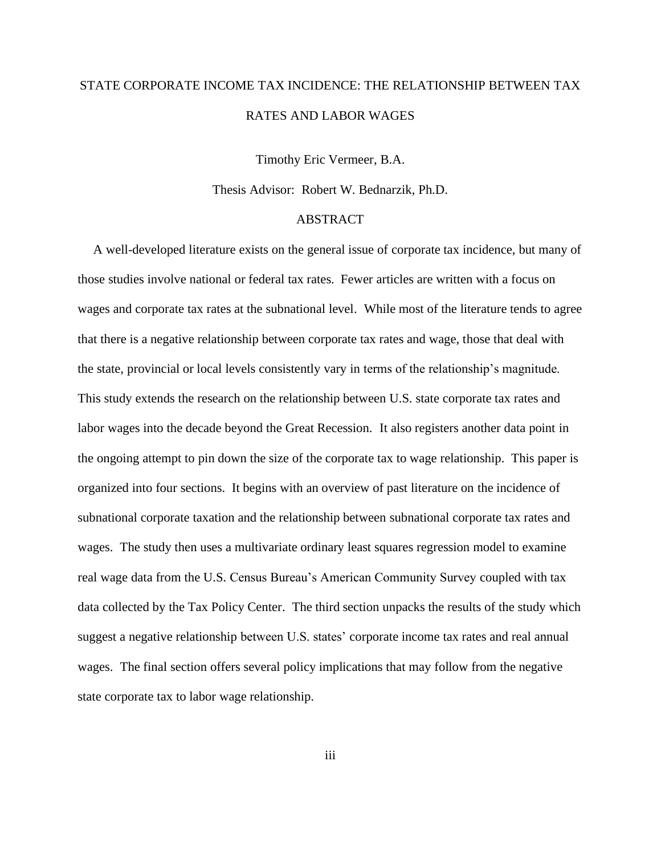# STATE CORPORATE INCOME TAX INCIDENCE: THE RELATIONSHIP BETWEEN TAX RATES AND LABOR WAGES

Timothy Eric Vermeer, B.A.

Thesis Advisor:Robert W. Bednarzik*,* Ph.D.

### **ABSTRACT**

A well-developed literature exists on the general issue of corporate tax incidence, but many of those studies involve national or federal tax rates. Fewer articles are written with a focus on wages and corporate tax rates at the subnational level. While most of the literature tends to agree that there is a negative relationship between corporate tax rates and wage, those that deal with the state, provincial or local levels consistently vary in terms of the relationship's magnitude. This study extends the research on the relationship between U.S. state corporate tax rates and labor wages into the decade beyond the Great Recession. It also registers another data point in the ongoing attempt to pin down the size of the corporate tax to wage relationship. This paper is organized into four sections. It begins with an overview of past literature on the incidence of subnational corporate taxation and the relationship between subnational corporate tax rates and wages. The study then uses a multivariate ordinary least squares regression model to examine real wage data from the U.S. Census Bureau's American Community Survey coupled with tax data collected by the Tax Policy Center. The third section unpacks the results of the study which suggest a negative relationship between U.S. states' corporate income tax rates and real annual wages. The final section offers several policy implications that may follow from the negative state corporate tax to labor wage relationship.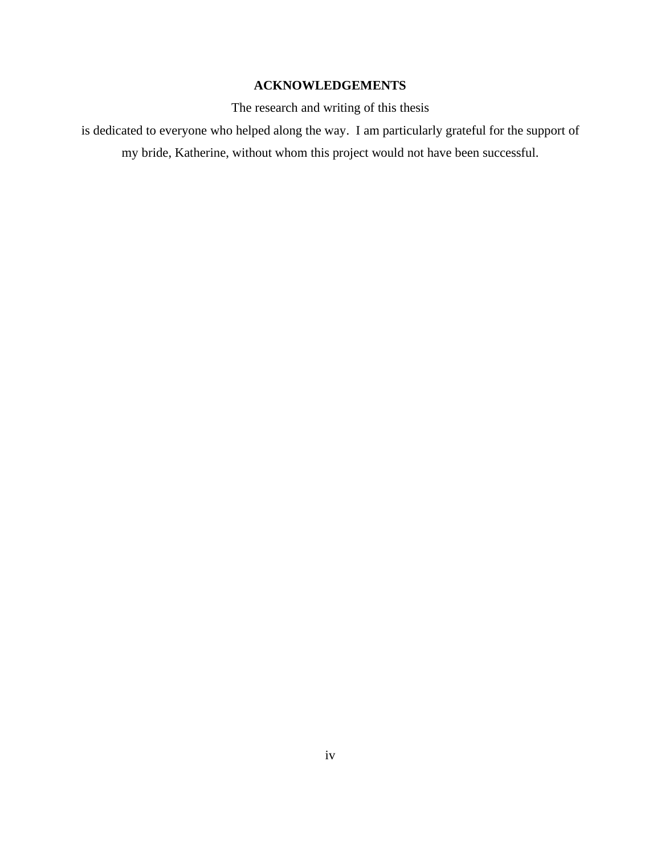# **ACKNOWLEDGEMENTS**

The research and writing of this thesis

is dedicated to everyone who helped along the way. I am particularly grateful for the support of my bride, Katherine, without whom this project would not have been successful.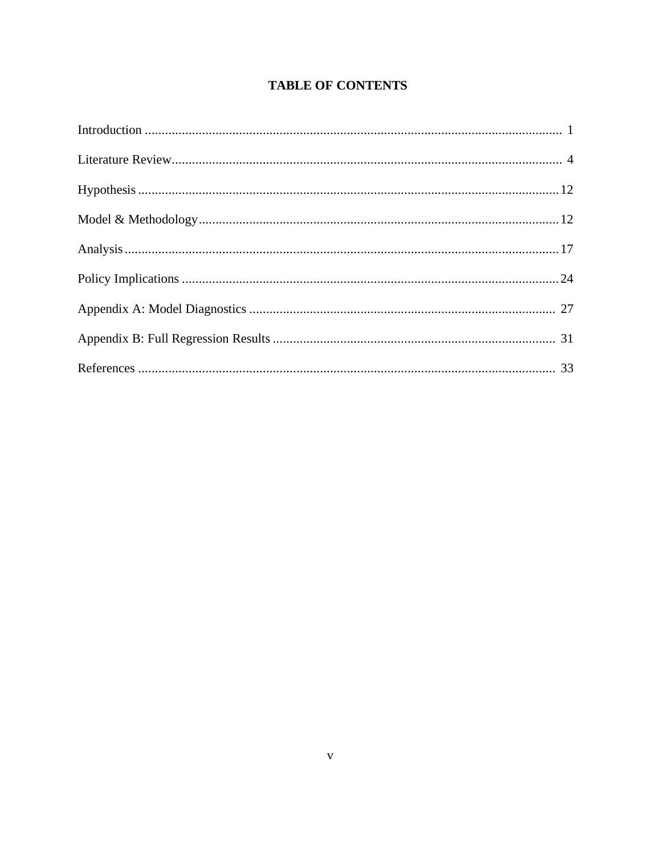# **TABLE OF CONTENTS**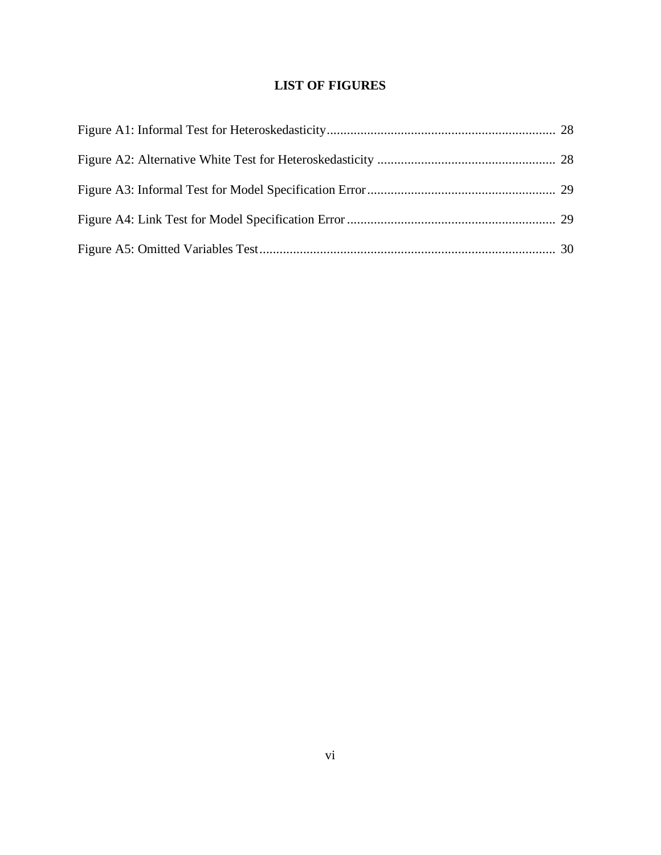# **LIST OF FIGURES**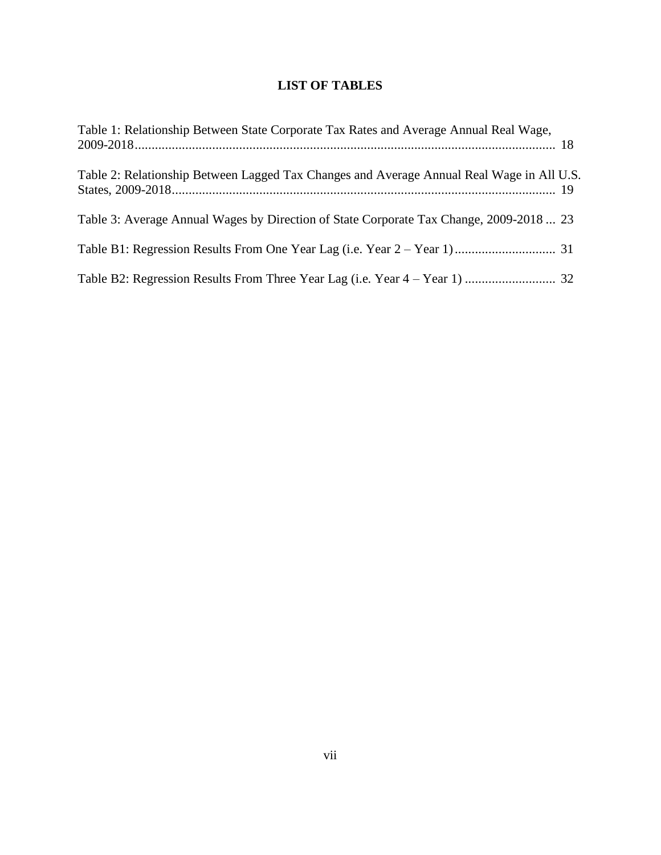# **LIST OF TABLES**

| Table 1: Relationship Between State Corporate Tax Rates and Average Annual Real Wage,     |  |
|-------------------------------------------------------------------------------------------|--|
| Table 2: Relationship Between Lagged Tax Changes and Average Annual Real Wage in All U.S. |  |
| Table 3: Average Annual Wages by Direction of State Corporate Tax Change, 2009-2018  23   |  |
|                                                                                           |  |
|                                                                                           |  |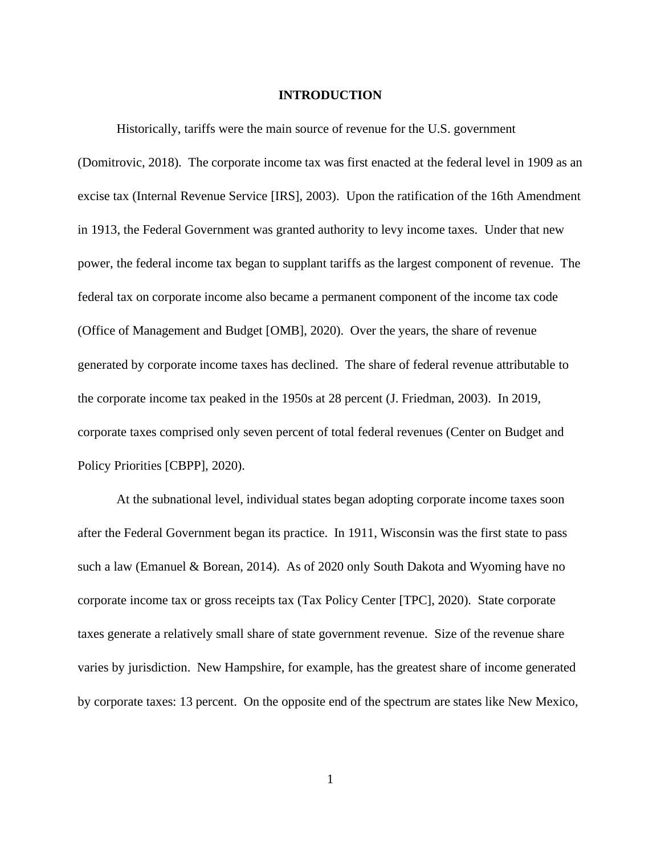### **INTRODUCTION**

Historically, tariffs were the main source of revenue for the U.S. government

(Domitrovic, 2018). The corporate income tax was first enacted at the federal level in 1909 as an excise tax (Internal Revenue Service [IRS], 2003). Upon the ratification of the 16th Amendment in 1913, the Federal Government was granted authority to levy income taxes. Under that new power, the federal income tax began to supplant tariffs as the largest component of revenue. The federal tax on corporate income also became a permanent component of the income tax code (Office of Management and Budget [OMB], 2020). Over the years, the share of revenue generated by corporate income taxes has declined. The share of federal revenue attributable to the corporate income tax peaked in the 1950s at 28 percent (J. Friedman, 2003). In 2019, corporate taxes comprised only seven percent of total federal revenues (Center on Budget and Policy Priorities [CBPP], 2020).

At the subnational level, individual states began adopting corporate income taxes soon after the Federal Government began its practice. In 1911, Wisconsin was the first state to pass such a law (Emanuel & Borean, 2014). As of 2020 only South Dakota and Wyoming have no corporate income tax or gross receipts tax (Tax Policy Center [TPC], 2020). State corporate taxes generate a relatively small share of state government revenue. Size of the revenue share varies by jurisdiction. New Hampshire, for example, has the greatest share of income generated by corporate taxes: 13 percent. On the opposite end of the spectrum are states like New Mexico,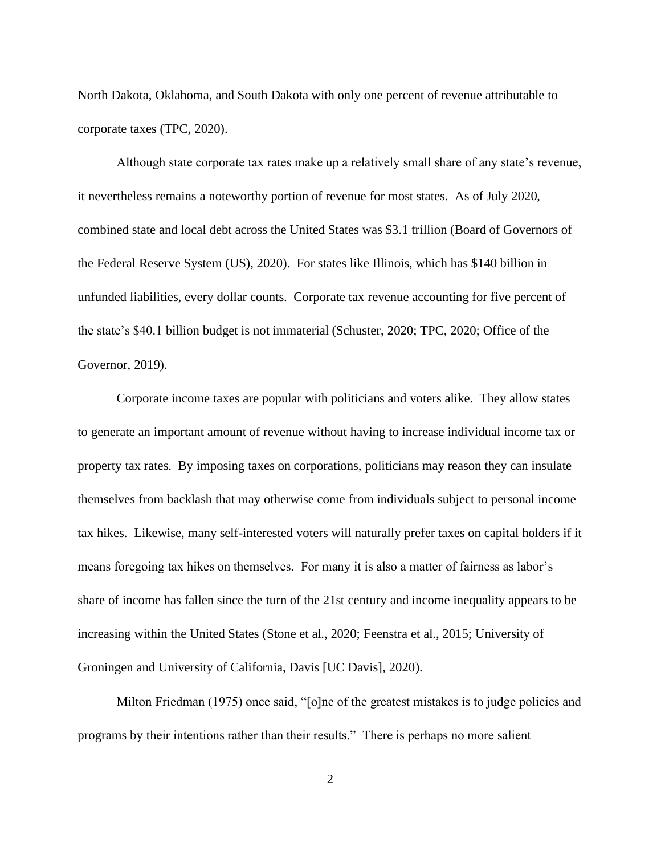North Dakota, Oklahoma, and South Dakota with only one percent of revenue attributable to corporate taxes (TPC, 2020).

Although state corporate tax rates make up a relatively small share of any state's revenue, it nevertheless remains a noteworthy portion of revenue for most states. As of July 2020, combined state and local debt across the United States was \$3.1 trillion (Board of Governors of the Federal Reserve System (US), 2020). For states like Illinois, which has \$140 billion in unfunded liabilities, every dollar counts. Corporate tax revenue accounting for five percent of the state's \$40.1 billion budget is not immaterial (Schuster, 2020; TPC, 2020; Office of the Governor, 2019).

Corporate income taxes are popular with politicians and voters alike. They allow states to generate an important amount of revenue without having to increase individual income tax or property tax rates. By imposing taxes on corporations, politicians may reason they can insulate themselves from backlash that may otherwise come from individuals subject to personal income tax hikes. Likewise, many self-interested voters will naturally prefer taxes on capital holders if it means foregoing tax hikes on themselves. For many it is also a matter of fairness as labor's share of income has fallen since the turn of the 21st century and income inequality appears to be increasing within the United States (Stone et al., 2020; Feenstra et al., 2015; University of Groningen and University of California, Davis [UC Davis], 2020).

Milton Friedman (1975) once said, "[o]ne of the greatest mistakes is to judge policies and programs by their intentions rather than their results." There is perhaps no more salient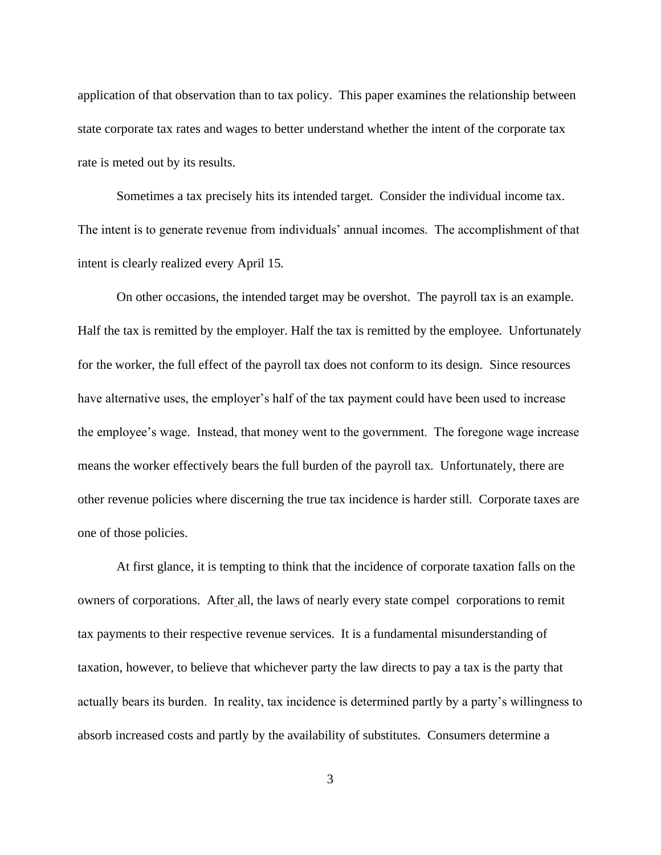application of that observation than to tax policy. This paper examines the relationship between state corporate tax rates and wages to better understand whether the intent of the corporate tax rate is meted out by its results.

Sometimes a tax precisely hits its intended target. Consider the individual income tax. The intent is to generate revenue from individuals' annual incomes. The accomplishment of that intent is clearly realized every April 15.

On other occasions, the intended target may be overshot. The payroll tax is an example. Half the tax is remitted by the employer. Half the tax is remitted by the employee. Unfortunately for the worker, the full effect of the payroll tax does not conform to its design. Since resources have alternative uses, the employer's half of the tax payment could have been used to increase the employee's wage. Instead, that money went to the government. The foregone wage increase means the worker effectively bears the full burden of the payroll tax. Unfortunately, there are other revenue policies where discerning the true tax incidence is harder still. Corporate taxes are one of those policies.

At first glance, it is tempting to think that the incidence of corporate taxation falls on the owners of corporations. After all, the laws of nearly every state compel corporations to remit tax payments to their respective revenue services. It is a fundamental misunderstanding of taxation, however, to believe that whichever party the law directs to pay a tax is the party that actually bears its burden. In reality, tax incidence is determined partly by a party's willingness to absorb increased costs and partly by the availability of substitutes. Consumers determine a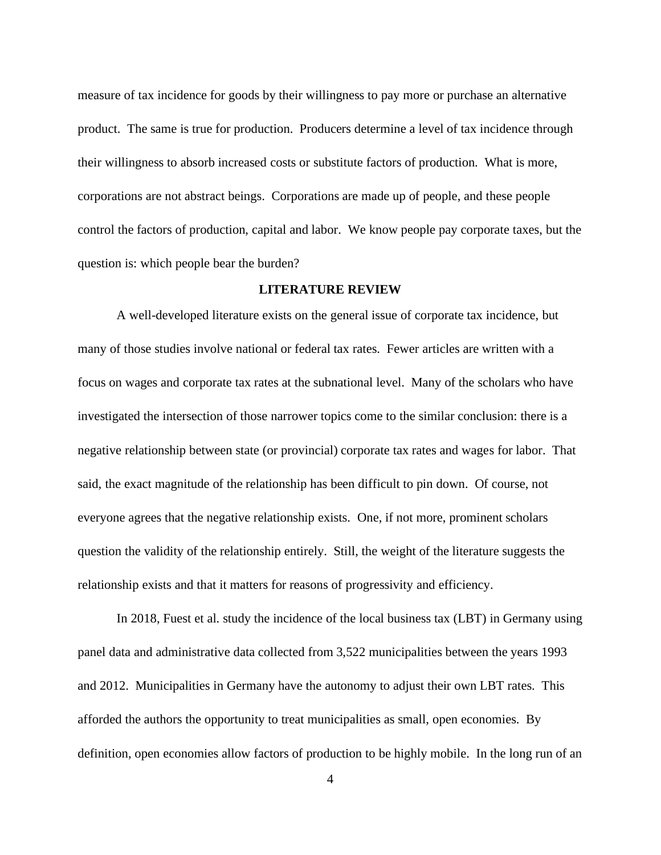measure of tax incidence for goods by their willingness to pay more or purchase an alternative product. The same is true for production. Producers determine a level of tax incidence through their willingness to absorb increased costs or substitute factors of production. What is more, corporations are not abstract beings. Corporations are made up of people, and these people control the factors of production, capital and labor. We know people pay corporate taxes, but the question is: which people bear the burden?

#### **LITERATURE REVIEW**

A well-developed literature exists on the general issue of corporate tax incidence, but many of those studies involve national or federal tax rates. Fewer articles are written with a focus on wages and corporate tax rates at the subnational level. Many of the scholars who have investigated the intersection of those narrower topics come to the similar conclusion: there is a negative relationship between state (or provincial) corporate tax rates and wages for labor. That said, the exact magnitude of the relationship has been difficult to pin down. Of course, not everyone agrees that the negative relationship exists. One, if not more, prominent scholars question the validity of the relationship entirely. Still, the weight of the literature suggests the relationship exists and that it matters for reasons of progressivity and efficiency.

In 2018, Fuest et al. study the incidence of the local business tax (LBT) in Germany using panel data and administrative data collected from 3,522 municipalities between the years 1993 and 2012. Municipalities in Germany have the autonomy to adjust their own LBT rates. This afforded the authors the opportunity to treat municipalities as small, open economies. By definition, open economies allow factors of production to be highly mobile. In the long run of an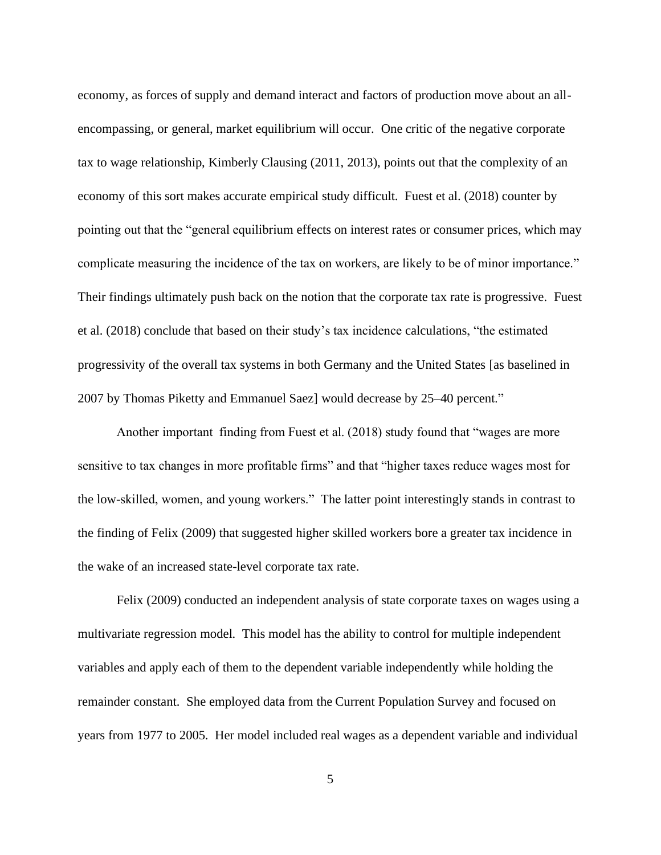economy, as forces of supply and demand interact and factors of production move about an allencompassing, or general, market equilibrium will occur. One critic of the negative corporate tax to wage relationship, Kimberly Clausing (2011, 2013), points out that the complexity of an economy of this sort makes accurate empirical study difficult. Fuest et al. (2018) counter by pointing out that the "general equilibrium effects on interest rates or consumer prices, which may complicate measuring the incidence of the tax on workers, are likely to be of minor importance." Their findings ultimately push back on the notion that the corporate tax rate is progressive. Fuest et al. (2018) conclude that based on their study's tax incidence calculations, "the estimated progressivity of the overall tax systems in both Germany and the United States [as baselined in 2007 by Thomas Piketty and Emmanuel Saez] would decrease by 25–40 percent."

Another important finding from Fuest et al. (2018) study found that "wages are more sensitive to tax changes in more profitable firms" and that "higher taxes reduce wages most for the low-skilled, women, and young workers." The latter point interestingly stands in contrast to the finding of Felix (2009) that suggested higher skilled workers bore a greater tax incidence in the wake of an increased state-level corporate tax rate.

Felix (2009) conducted an independent analysis of state corporate taxes on wages using a multivariate regression model. This model has the ability to control for multiple independent variables and apply each of them to the dependent variable independently while holding the remainder constant. She employed data from the Current Population Survey and focused on years from 1977 to 2005. Her model included real wages as a dependent variable and individual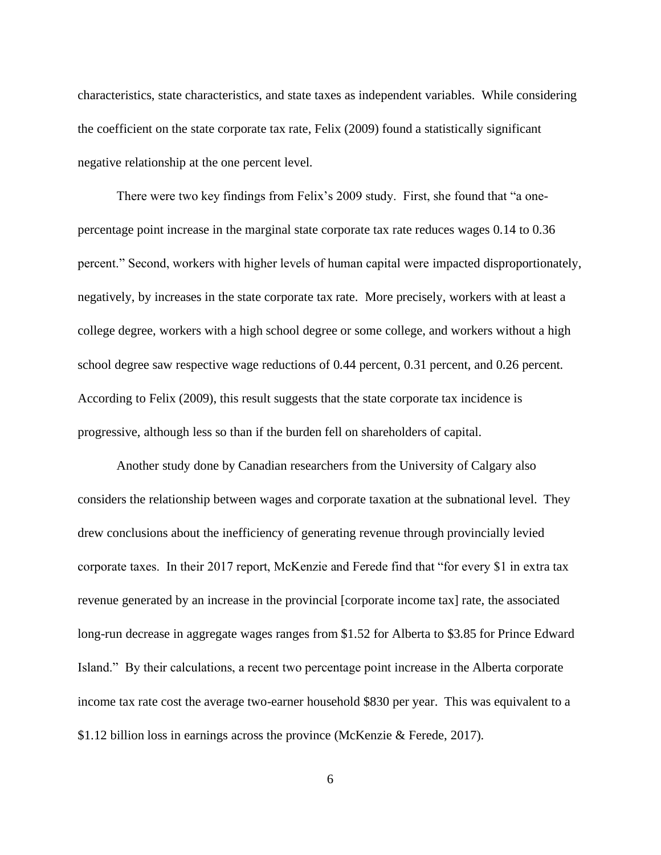characteristics, state characteristics, and state taxes as independent variables. While considering the coefficient on the state corporate tax rate, Felix (2009) found a statistically significant negative relationship at the one percent level.

There were two key findings from Felix's 2009 study. First, she found that "a onepercentage point increase in the marginal state corporate tax rate reduces wages 0.14 to 0.36 percent." Second, workers with higher levels of human capital were impacted disproportionately, negatively, by increases in the state corporate tax rate. More precisely, workers with at least a college degree, workers with a high school degree or some college, and workers without a high school degree saw respective wage reductions of 0.44 percent, 0.31 percent, and 0.26 percent. According to Felix (2009), this result suggests that the state corporate tax incidence is progressive, although less so than if the burden fell on shareholders of capital.

Another study done by Canadian researchers from the University of Calgary also considers the relationship between wages and corporate taxation at the subnational level. They drew conclusions about the inefficiency of generating revenue through provincially levied corporate taxes. In their 2017 report, McKenzie and Ferede find that "for every \$1 in extra tax revenue generated by an increase in the provincial [corporate income tax] rate, the associated long-run decrease in aggregate wages ranges from \$1.52 for Alberta to \$3.85 for Prince Edward Island." By their calculations, a recent two percentage point increase in the Alberta corporate income tax rate cost the average two-earner household \$830 per year. This was equivalent to a \$1.12 billion loss in earnings across the province (McKenzie & Ferede, 2017).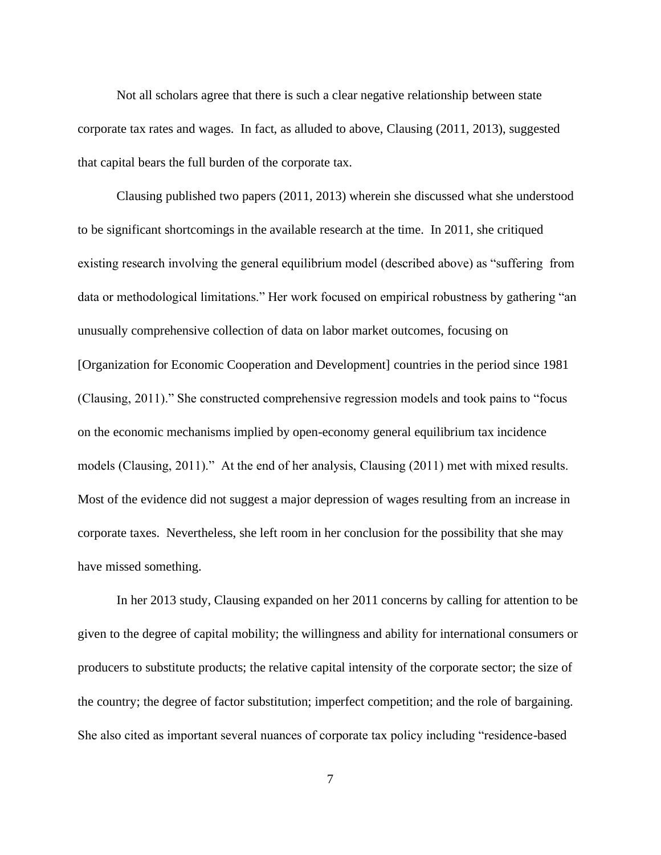Not all scholars agree that there is such a clear negative relationship between state corporate tax rates and wages. In fact, as alluded to above, Clausing (2011, 2013), suggested that capital bears the full burden of the corporate tax.

Clausing published two papers (2011, 2013) wherein she discussed what she understood to be significant shortcomings in the available research at the time. In 2011, she critiqued existing research involving the general equilibrium model (described above) as "suffering from data or methodological limitations." Her work focused on empirical robustness by gathering "an unusually comprehensive collection of data on labor market outcomes, focusing on [Organization for Economic Cooperation and Development] countries in the period since 1981 (Clausing, 2011)." She constructed comprehensive regression models and took pains to "focus on the economic mechanisms implied by open-economy general equilibrium tax incidence models (Clausing, 2011)." At the end of her analysis, Clausing (2011) met with mixed results. Most of the evidence did not suggest a major depression of wages resulting from an increase in corporate taxes. Nevertheless, she left room in her conclusion for the possibility that she may have missed something.

In her 2013 study, Clausing expanded on her 2011 concerns by calling for attention to be given to the degree of capital mobility; the willingness and ability for international consumers or producers to substitute products; the relative capital intensity of the corporate sector; the size of the country; the degree of factor substitution; imperfect competition; and the role of bargaining. She also cited as important several nuances of corporate tax policy including "residence-based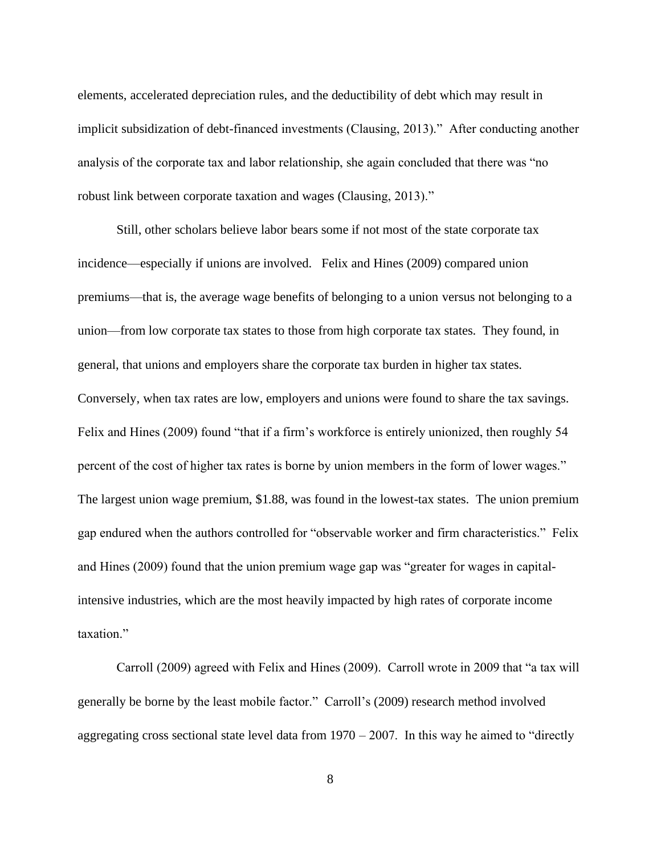elements, accelerated depreciation rules, and the deductibility of debt which may result in implicit subsidization of debt-financed investments (Clausing, 2013)." After conducting another analysis of the corporate tax and labor relationship, she again concluded that there was "no robust link between corporate taxation and wages (Clausing, 2013)."

Still, other scholars believe labor bears some if not most of the state corporate tax incidence—especially if unions are involved. Felix and Hines (2009) compared union premiums—that is, the average wage benefits of belonging to a union versus not belonging to a union—from low corporate tax states to those from high corporate tax states. They found, in general, that unions and employers share the corporate tax burden in higher tax states. Conversely, when tax rates are low, employers and unions were found to share the tax savings. Felix and Hines (2009) found "that if a firm's workforce is entirely unionized, then roughly 54 percent of the cost of higher tax rates is borne by union members in the form of lower wages." The largest union wage premium, \$1.88, was found in the lowest-tax states. The union premium gap endured when the authors controlled for "observable worker and firm characteristics." Felix and Hines (2009) found that the union premium wage gap was "greater for wages in capitalintensive industries, which are the most heavily impacted by high rates of corporate income taxation."

Carroll (2009) agreed with Felix and Hines (2009). Carroll wrote in 2009 that "a tax will generally be borne by the least mobile factor." Carroll's (2009) research method involved aggregating cross sectional state level data from  $1970 - 2007$ . In this way he aimed to "directly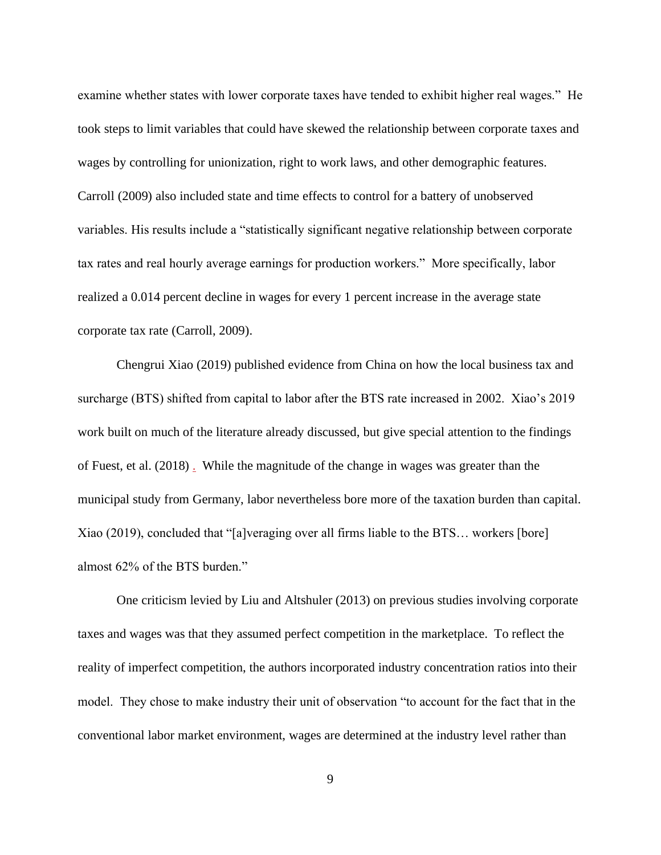examine whether states with lower corporate taxes have tended to exhibit higher real wages." He took steps to limit variables that could have skewed the relationship between corporate taxes and wages by controlling for unionization, right to work laws, and other demographic features. Carroll (2009) also included state and time effects to control for a battery of unobserved variables. His results include a "statistically significant negative relationship between corporate tax rates and real hourly average earnings for production workers." More specifically, labor realized a 0.014 percent decline in wages for every 1 percent increase in the average state corporate tax rate (Carroll, 2009).

Chengrui Xiao (2019) published evidence from China on how the local business tax and surcharge (BTS) shifted from capital to labor after the BTS rate increased in 2002. Xiao's 2019 work built on much of the literature already discussed, but give special attention to the findings of Fuest, et al. (2018) . While the magnitude of the change in wages was greater than the municipal study from Germany, labor nevertheless bore more of the taxation burden than capital. Xiao (2019), concluded that "[a]veraging over all firms liable to the BTS… workers [bore] almost 62% of the BTS burden."

One criticism levied by Liu and Altshuler (2013) on previous studies involving corporate taxes and wages was that they assumed perfect competition in the marketplace. To reflect the reality of imperfect competition, the authors incorporated industry concentration ratios into their model. They chose to make industry their unit of observation "to account for the fact that in the conventional labor market environment, wages are determined at the industry level rather than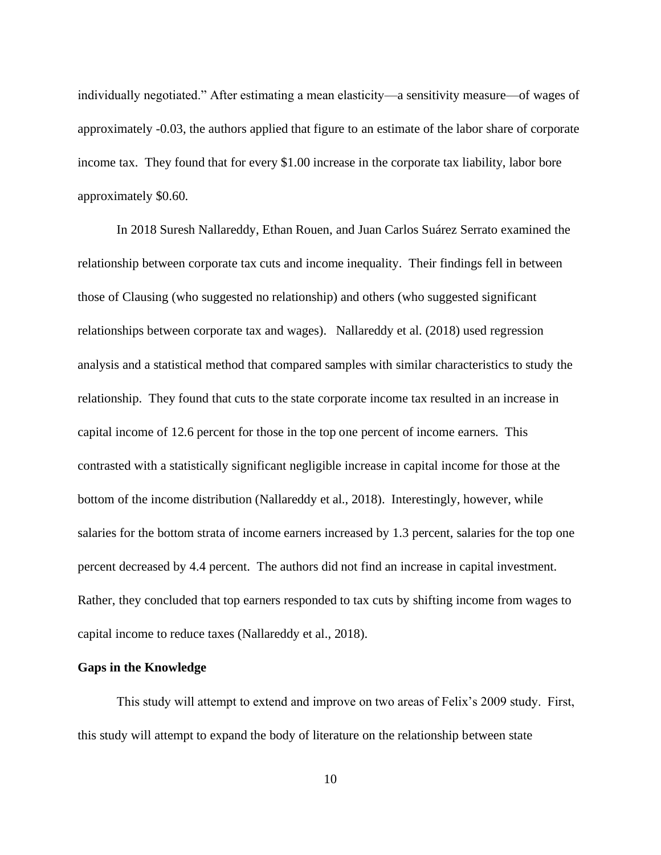individually negotiated." After estimating a mean elasticity—a sensitivity measure—of wages of approximately -0.03, the authors applied that figure to an estimate of the labor share of corporate income tax. They found that for every \$1.00 increase in the corporate tax liability, labor bore approximately \$0.60.

In 2018 Suresh Nallareddy, Ethan Rouen, and Juan Carlos Suárez Serrato examined the relationship between corporate tax cuts and income inequality. Their findings fell in between those of Clausing (who suggested no relationship) and others (who suggested significant relationships between corporate tax and wages). Nallareddy et al. (2018) used regression analysis and a statistical method that compared samples with similar characteristics to study the relationship. They found that cuts to the state corporate income tax resulted in an increase in capital income of 12.6 percent for those in the top one percent of income earners. This contrasted with a statistically significant negligible increase in capital income for those at the bottom of the income distribution (Nallareddy et al., 2018). Interestingly, however, while salaries for the bottom strata of income earners increased by 1.3 percent, salaries for the top one percent decreased by 4.4 percent. The authors did not find an increase in capital investment. Rather, they concluded that top earners responded to tax cuts by shifting income from wages to capital income to reduce taxes (Nallareddy et al., 2018).

#### **Gaps in the Knowledge**

This study will attempt to extend and improve on two areas of Felix's 2009 study. First, this study will attempt to expand the body of literature on the relationship between state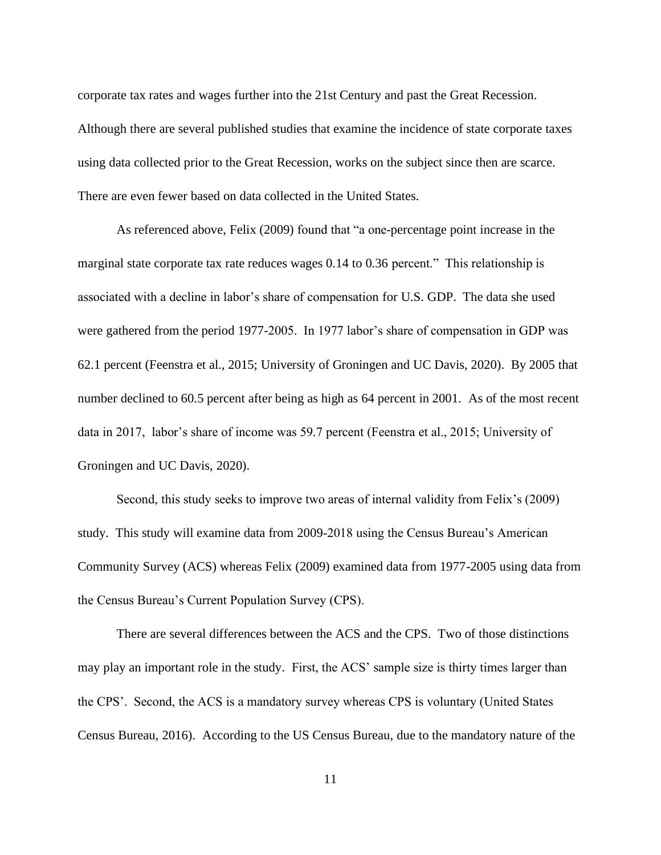corporate tax rates and wages further into the 21st Century and past the Great Recession. Although there are several published studies that examine the incidence of state corporate taxes using data collected prior to the Great Recession, works on the subject since then are scarce. There are even fewer based on data collected in the United States.

As referenced above, Felix (2009) found that "a one-percentage point increase in the marginal state corporate tax rate reduces wages 0.14 to 0.36 percent." This relationship is associated with a decline in labor's share of compensation for U.S. GDP. The data she used were gathered from the period 1977-2005. In 1977 labor's share of compensation in GDP was 62.1 percent (Feenstra et al., 2015; University of Groningen and UC Davis, 2020). By 2005 that number declined to 60.5 percent after being as high as 64 percent in 2001. As of the most recent data in 2017, labor's share of income was 59.7 percent (Feenstra et al., 2015; University of Groningen and UC Davis, 2020).

Second, this study seeks to improve two areas of internal validity from Felix's (2009) study. This study will examine data from 2009-2018 using the Census Bureau's American Community Survey (ACS) whereas Felix (2009) examined data from 1977-2005 using data from the Census Bureau's Current Population Survey (CPS).

There are several differences between the ACS and the CPS. Two of those distinctions may play an important role in the study. First, the ACS' sample size is thirty times larger than the CPS'. Second, the ACS is a mandatory survey whereas CPS is voluntary (United States Census Bureau, 2016). According to the US Census Bureau, due to the mandatory nature of the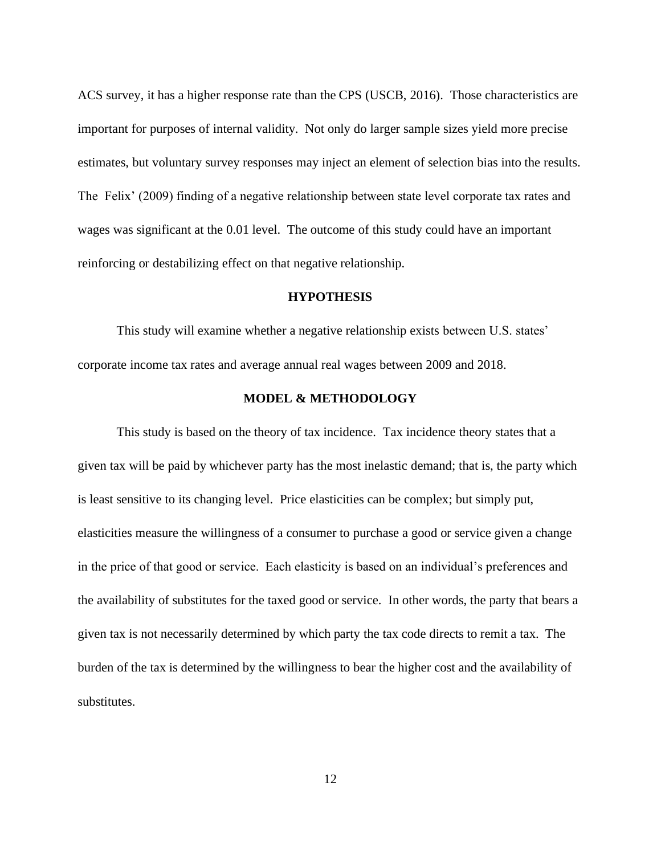ACS survey, it has a higher response rate than the CPS (USCB, 2016). Those characteristics are important for purposes of internal validity. Not only do larger sample sizes yield more precise estimates, but voluntary survey responses may inject an element of selection bias into the results. The Felix' (2009) finding of a negative relationship between state level corporate tax rates and wages was significant at the 0.01 level. The outcome of this study could have an important reinforcing or destabilizing effect on that negative relationship.

#### **HYPOTHESIS**

This study will examine whether a negative relationship exists between U.S. states' corporate income tax rates and average annual real wages between 2009 and 2018.

### **MODEL & METHODOLOGY**

This study is based on the theory of tax incidence. Tax incidence theory states that a given tax will be paid by whichever party has the most inelastic demand; that is, the party which is least sensitive to its changing level. Price elasticities can be complex; but simply put, elasticities measure the willingness of a consumer to purchase a good or service given a change in the price of that good or service. Each elasticity is based on an individual's preferences and the availability of substitutes for the taxed good or service. In other words, the party that bears a given tax is not necessarily determined by which party the tax code directs to remit a tax. The burden of the tax is determined by the willingness to bear the higher cost and the availability of substitutes.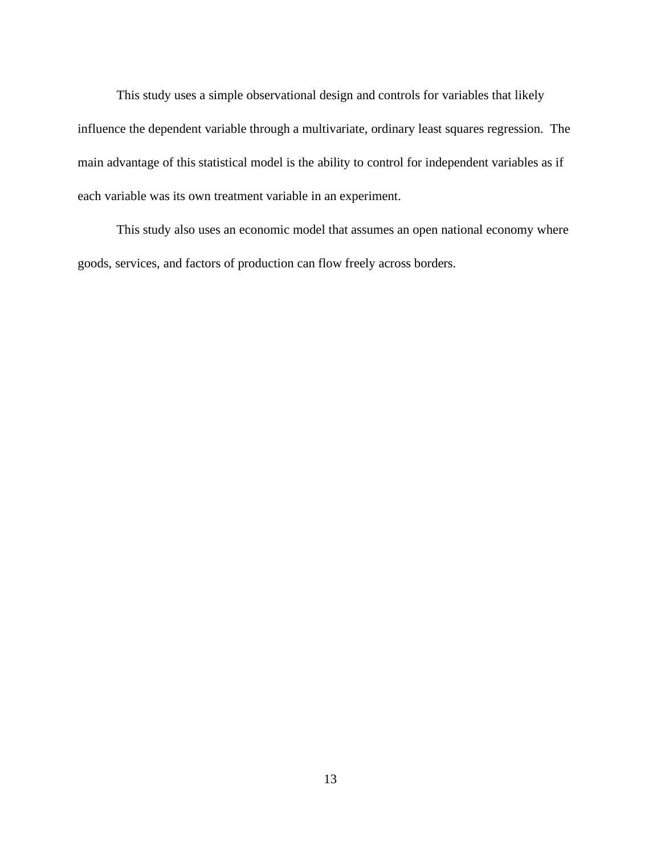This study uses a simple observational design and controls for variables that likely influence the dependent variable through a multivariate, ordinary least squares regression. The main advantage of this statistical model is the ability to control for independent variables as if each variable was its own treatment variable in an experiment.

This study also uses an economic model that assumes an open national economy where goods, services, and factors of production can flow freely across borders.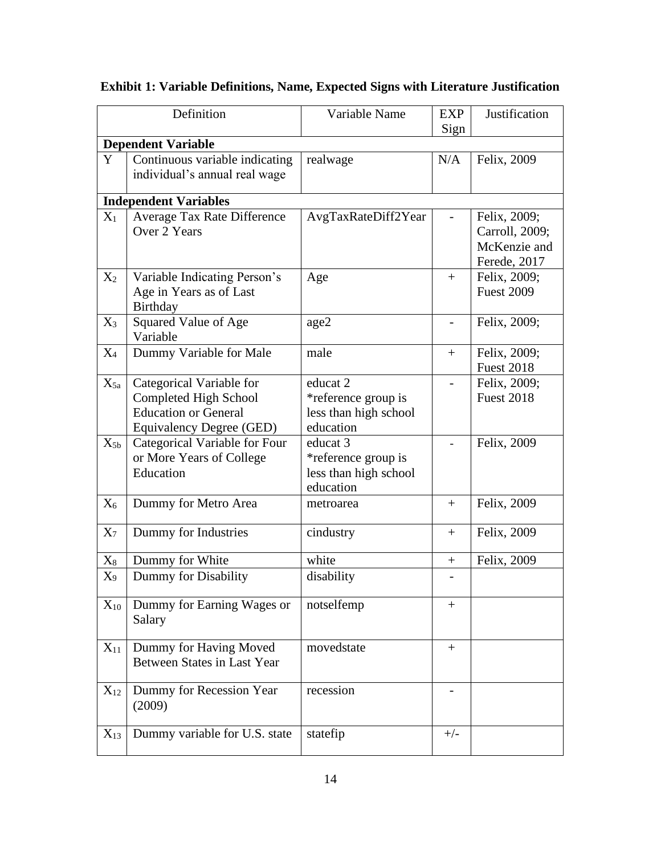|                | Definition                                                                                                   | Variable Name                                                         | <b>EXP</b><br>Sign       | Justification                                                  |
|----------------|--------------------------------------------------------------------------------------------------------------|-----------------------------------------------------------------------|--------------------------|----------------------------------------------------------------|
|                | <b>Dependent Variable</b>                                                                                    |                                                                       |                          |                                                                |
| Y              | Continuous variable indicating<br>individual's annual real wage                                              | realwage                                                              | N/A                      | Felix, 2009                                                    |
|                | <b>Independent Variables</b>                                                                                 |                                                                       |                          |                                                                |
| $X_1$          | Average Tax Rate Difference<br>Over 2 Years                                                                  | AvgTaxRateDiff2Year                                                   |                          | Felix, 2009;<br>Carroll, 2009;<br>McKenzie and<br>Ferede, 2017 |
| $X_2$          | Variable Indicating Person's<br>Age in Years as of Last<br>Birthday                                          | Age                                                                   | $+$                      | Felix, 2009;<br><b>Fuest 2009</b>                              |
| $X_3$          | Squared Value of Age<br>Variable                                                                             | age2                                                                  | $\overline{\phantom{0}}$ | Felix, 2009;                                                   |
| $X_4$          | Dummy Variable for Male                                                                                      | male                                                                  | $+$                      | Felix, 2009;<br><b>Fuest 2018</b>                              |
| $X_{5a}$       | Categorical Variable for<br>Completed High School<br><b>Education or General</b><br>Equivalency Degree (GED) | educat 2<br>*reference group is<br>less than high school<br>education |                          | Felix, 2009;<br><b>Fuest 2018</b>                              |
| $X_{5b}$       | Categorical Variable for Four<br>or More Years of College<br>Education                                       | educat 3<br>*reference group is<br>less than high school<br>education |                          | Felix, 2009                                                    |
| $X_6$          | Dummy for Metro Area                                                                                         | metroarea                                                             | $+$                      | Felix, 2009                                                    |
| $X_7$          | Dummy for Industries                                                                                         | cindustry                                                             | $+$                      | Felix, 2009                                                    |
| $\mathrm{X}_8$ | Dummy for White                                                                                              | white                                                                 | $\boldsymbol{+}$         | Felix, 2009                                                    |
| $X_9$          | Dummy for Disability                                                                                         | disability                                                            |                          |                                                                |
| $\rm X_{10}$   | Dummy for Earning Wages or<br>Salary                                                                         | notselfemp                                                            | $^{+}$                   |                                                                |
| $X_{11}$       | Dummy for Having Moved<br><b>Between States in Last Year</b>                                                 | movedstate                                                            | $+$                      |                                                                |
| $X_{12}$       | Dummy for Recession Year<br>(2009)                                                                           | recession                                                             |                          |                                                                |
| $X_{13}$       | Dummy variable for U.S. state                                                                                | statefip                                                              | $+/-$                    |                                                                |

**Exhibit 1: Variable Definitions, Name, Expected Signs with Literature Justification**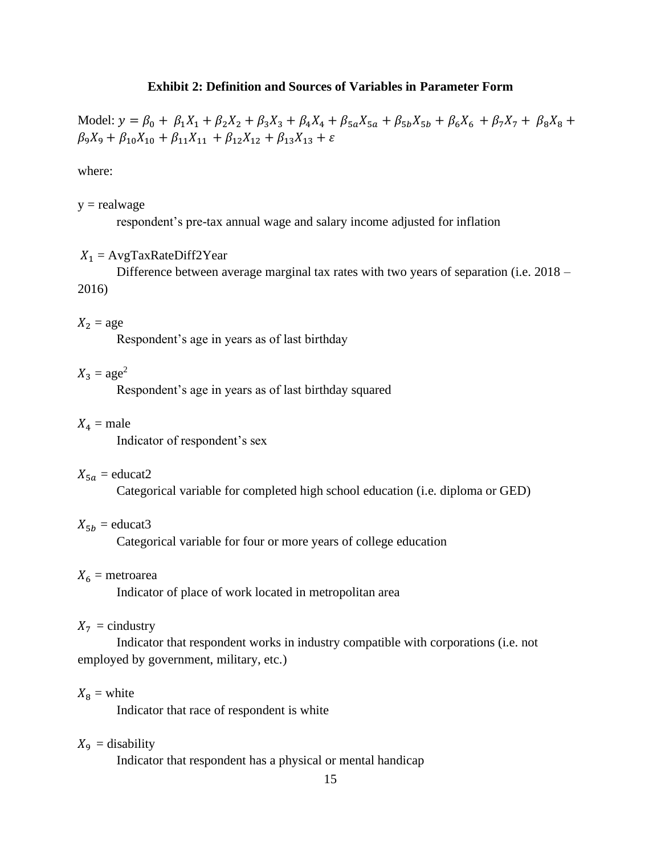#### **Exhibit 2: Definition and Sources of Variables in Parameter Form**

Model:  $y = \beta_0 + \beta_1 X_1 + \beta_2 X_2 + \beta_3 X_3 + \beta_4 X_4 + \beta_5 A_5 + \beta_5 B_6 + \beta_6 X_6 + \beta_7 X_7 + \beta_8 X_8$  $\beta_9 X_9 + \beta_{10} X_{10} + \beta_{11} X_{11} + \beta_{12} X_{12} + \beta_{13} X_{13} + \varepsilon$ 

where:

 $y =$  realwage

respondent's pre-tax annual wage and salary income adjusted for inflation

#### $X_1$  = AvgTaxRateDiff2Year

Difference between average marginal tax rates with two years of separation (i.e. 2018 – 2016)

### $X_2$  = age

Respondent's age in years as of last birthday

# $X_3 = \text{age}^2$

Respondent's age in years as of last birthday squared

#### $X_4$  = male

Indicator of respondent's sex

#### $X_{5a} =$ educat2

Categorical variable for completed high school education (i.e. diploma or GED)

### $X_{5b} =$  educat3

Categorical variable for four or more years of college education

#### $X_6$  = metroarea

Indicator of place of work located in metropolitan area

#### $X_7$  = cindustry

Indicator that respondent works in industry compatible with corporations (i.e. not employed by government, military, etc.)

#### $X_8 =$  white

Indicator that race of respondent is white

#### $X_{9}$  = disability

Indicator that respondent has a physical or mental handicap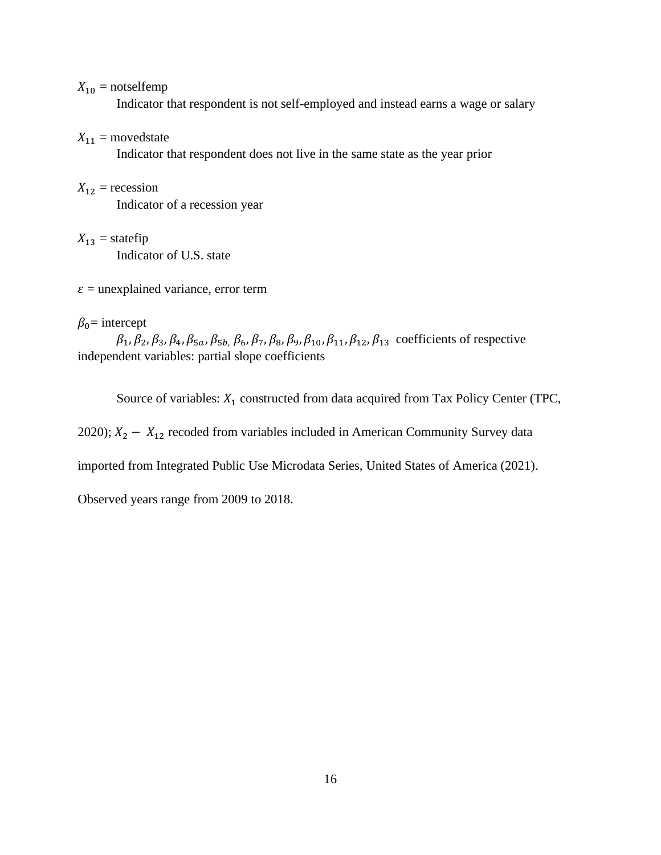$X_{10}$  = notselfemp

Indicator that respondent is not self-employed and instead earns a wage or salary

 $X_{11}$  = movedstate

Indicator that respondent does not live in the same state as the year prior

 $X_{12}$  = recession

Indicator of a recession year

 $X_{13}$  = statefip

Indicator of U.S. state

 $\varepsilon$  = unexplained variance, error term

### $\beta_0$ = intercept

 $\beta_1$ ,  $\beta_2$ ,  $\beta_3$ ,  $\beta_4$ ,  $\beta_{5a}$ ,  $\beta_{5b}$ ,  $\beta_6$ ,  $\beta_7$ ,  $\beta_8$ ,  $\beta_9$ ,  $\beta_{10}$ ,  $\beta_{11}$ ,  $\beta_{12}$ ,  $\beta_{13}$  coefficients of respective independent variables: partial slope coefficients

Source of variables:  $X_1$  constructed from data acquired from Tax Policy Center (TPC,

2020);  $X_2 - X_{12}$  recoded from variables included in American Community Survey data

imported from Integrated Public Use Microdata Series, United States of America (2021).

Observed years range from 2009 to 2018.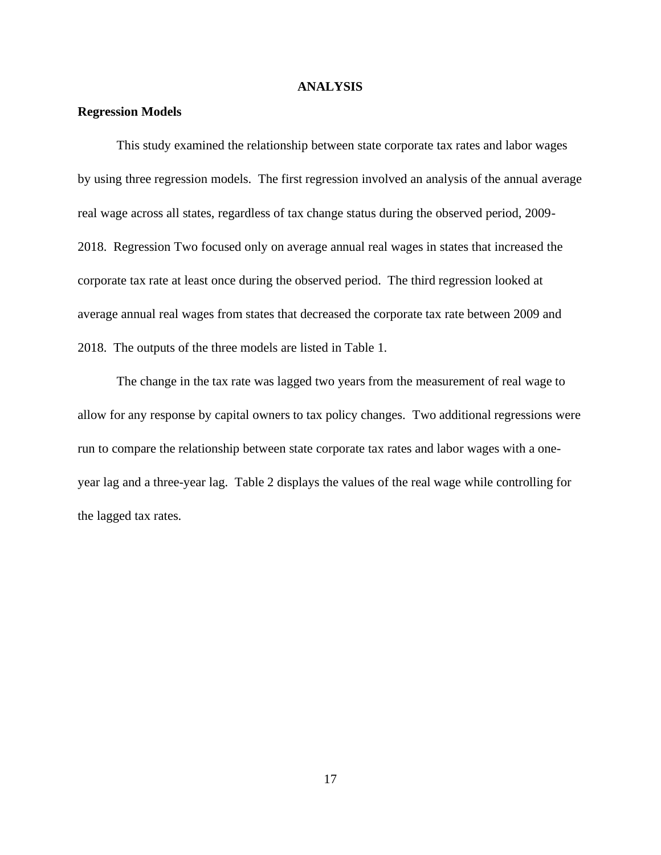#### **ANALYSIS**

#### **Regression Models**

This study examined the relationship between state corporate tax rates and labor wages by using three regression models. The first regression involved an analysis of the annual average real wage across all states, regardless of tax change status during the observed period, 2009- 2018. Regression Two focused only on average annual real wages in states that increased the corporate tax rate at least once during the observed period. The third regression looked at average annual real wages from states that decreased the corporate tax rate between 2009 and 2018. The outputs of the three models are listed in Table 1.

The change in the tax rate was lagged two years from the measurement of real wage to allow for any response by capital owners to tax policy changes. Two additional regressions were run to compare the relationship between state corporate tax rates and labor wages with a oneyear lag and a three-year lag. Table 2 displays the values of the real wage while controlling for the lagged tax rates.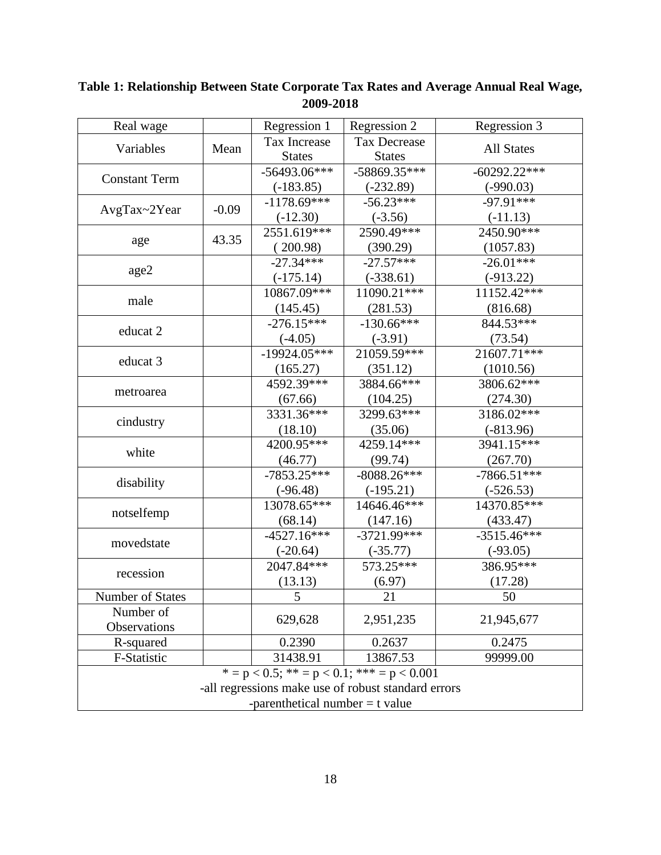| Real wage                                           |                                   | Regression 1   | Regression 2                                     | Regression 3      |  |  |  |  |  |
|-----------------------------------------------------|-----------------------------------|----------------|--------------------------------------------------|-------------------|--|--|--|--|--|
| Variables                                           |                                   | Tax Increase   | <b>Tax Decrease</b>                              |                   |  |  |  |  |  |
|                                                     | Mean                              | <b>States</b>  | <b>States</b>                                    | <b>All States</b> |  |  |  |  |  |
|                                                     |                                   | $-56493.06***$ | $-58869.35***$                                   | $-60292.22***$    |  |  |  |  |  |
| <b>Constant Term</b>                                |                                   | $(-183.85)$    | $(-232.89)$                                      | $(-990.03)$       |  |  |  |  |  |
|                                                     |                                   | $-1178.69$ *** | $-56.23***$                                      | $-97.91***$       |  |  |  |  |  |
| AvgTax~2Year                                        | $-0.09$                           | $(-12.30)$     | $(-3.56)$                                        | $(-11.13)$        |  |  |  |  |  |
|                                                     |                                   | 2551.619***    | 2590.49***                                       | 2450.90***        |  |  |  |  |  |
| age                                                 | 43.35                             | (200.98)       | (390.29)                                         | (1057.83)         |  |  |  |  |  |
|                                                     |                                   | $-27.34***$    | $-27.57***$                                      | $-26.01***$       |  |  |  |  |  |
| age2                                                |                                   | $(-175.14)$    | $(-338.61)$                                      | $(-913.22)$       |  |  |  |  |  |
|                                                     |                                   | 10867.09***    | 11090.21***                                      | $11152.42***$     |  |  |  |  |  |
| male                                                |                                   | (145.45)       | (281.53)                                         | (816.68)          |  |  |  |  |  |
|                                                     |                                   | $-276.15***$   | $-130.66***$                                     | 844.53***         |  |  |  |  |  |
| educat 2                                            |                                   | $(-4.05)$      | $(-3.91)$                                        | (73.54)           |  |  |  |  |  |
|                                                     |                                   | $-19924.05***$ | $21059.59***$                                    | 21607.71***       |  |  |  |  |  |
| educat 3                                            |                                   | (165.27)       | (351.12)                                         | (1010.56)         |  |  |  |  |  |
|                                                     |                                   | 4592.39***     | 3884.66***                                       | 3806.62***        |  |  |  |  |  |
| metroarea                                           |                                   | (67.66)        | (104.25)                                         | (274.30)          |  |  |  |  |  |
|                                                     |                                   | 3331.36***     | 3299.63***                                       | 3186.02***        |  |  |  |  |  |
| cindustry                                           |                                   | (18.10)        | (35.06)                                          | $(-813.96)$       |  |  |  |  |  |
|                                                     |                                   | 4200.95***     | 4259.14***                                       | 3941.15***        |  |  |  |  |  |
| white                                               |                                   | (46.77)        | (99.74)                                          | (267.70)          |  |  |  |  |  |
|                                                     |                                   | $-7853.25***$  | $-8088.26***$                                    | $-7866.51***$     |  |  |  |  |  |
| disability                                          |                                   | $(-96.48)$     | $(-195.21)$                                      | $(-526.53)$       |  |  |  |  |  |
|                                                     |                                   | 13078.65***    | 14646.46***                                      | 14370.85***       |  |  |  |  |  |
| notselfemp                                          |                                   | (68.14)        | (147.16)                                         | (433.47)          |  |  |  |  |  |
|                                                     |                                   | $-4527.16***$  | $-3721.99***$                                    | $-3515.46***$     |  |  |  |  |  |
| movedstate                                          |                                   | $(-20.64)$     | $(-35.77)$                                       | $(-93.05)$        |  |  |  |  |  |
|                                                     |                                   | 2047.84***     | 573.25***                                        | 386.95***         |  |  |  |  |  |
| recession                                           |                                   | (13.13)        | (6.97)                                           | (17.28)           |  |  |  |  |  |
| Number of States                                    |                                   | 5              | 21                                               | 50                |  |  |  |  |  |
| Number of                                           |                                   |                |                                                  |                   |  |  |  |  |  |
| Observations                                        |                                   | 629,628        | 2,951,235                                        | 21,945,677        |  |  |  |  |  |
| R-squared                                           |                                   | 0.2390         | 0.2637                                           | 0.2475            |  |  |  |  |  |
| F-Statistic                                         |                                   | 31438.91       | 13867.53                                         | 99999.00          |  |  |  |  |  |
|                                                     |                                   |                | $* = p < 0.5;$ $** = p < 0.1;$ $*** = p < 0.001$ |                   |  |  |  |  |  |
| -all regressions make use of robust standard errors |                                   |                |                                                  |                   |  |  |  |  |  |
|                                                     | -parenthetical number $=$ t value |                |                                                  |                   |  |  |  |  |  |

**Table 1: Relationship Between State Corporate Tax Rates and Average Annual Real Wage, 2009-2018**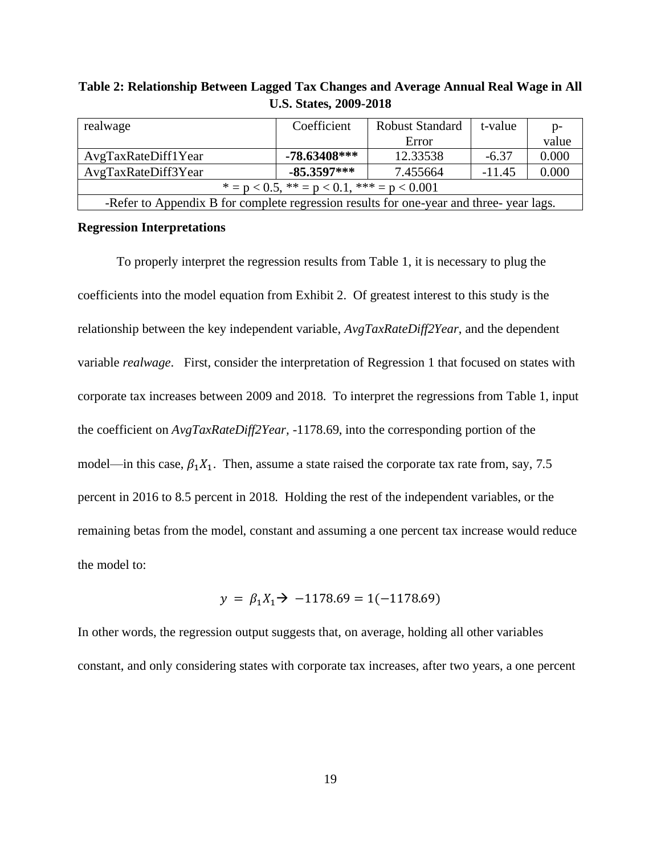| realwage                                                                               | Coefficient    | <b>Robust Standard</b> | t-value  | $p-$  |  |  |  |  |  |  |
|----------------------------------------------------------------------------------------|----------------|------------------------|----------|-------|--|--|--|--|--|--|
|                                                                                        |                | Error                  |          | value |  |  |  |  |  |  |
| AvgTaxRateDiff1Year                                                                    | $-78.63408***$ | 12.33538               | $-6.37$  | 0.000 |  |  |  |  |  |  |
| AvgTaxRateDiff3Year                                                                    | -85.3597***    | 7.455664               | $-11.45$ | 0.000 |  |  |  |  |  |  |
| $* = p < 0.5$ , $* = p < 0.1$ , $* * = p < 0.001$                                      |                |                        |          |       |  |  |  |  |  |  |
| -Refer to Appendix B for complete regression results for one-year and three-year lags. |                |                        |          |       |  |  |  |  |  |  |

**Table 2: Relationship Between Lagged Tax Changes and Average Annual Real Wage in All U.S. States, 2009-2018**

#### **Regression Interpretations**

To properly interpret the regression results from Table 1, it is necessary to plug the coefficients into the model equation from Exhibit 2. Of greatest interest to this study is the relationship between the key independent variable, *AvgTaxRateDiff2Year*, and the dependent variable *realwage*. First, consider the interpretation of Regression 1 that focused on states with corporate tax increases between 2009 and 2018. To interpret the regressions from Table 1, input the coefficient on *AvgTaxRateDiff2Year,* -1178.69, into the corresponding portion of the model—in this case,  $\beta_1 X_1$ . Then, assume a state raised the corporate tax rate from, say, 7.5 percent in 2016 to 8.5 percent in 2018. Holding the rest of the independent variables, or the remaining betas from the model, constant and assuming a one percent tax increase would reduce the model to:

$$
y = \beta_1 X_1 \rightarrow -1178.69 = 1(-1178.69)
$$

In other words, the regression output suggests that, on average, holding all other variables constant, and only considering states with corporate tax increases, after two years, a one percent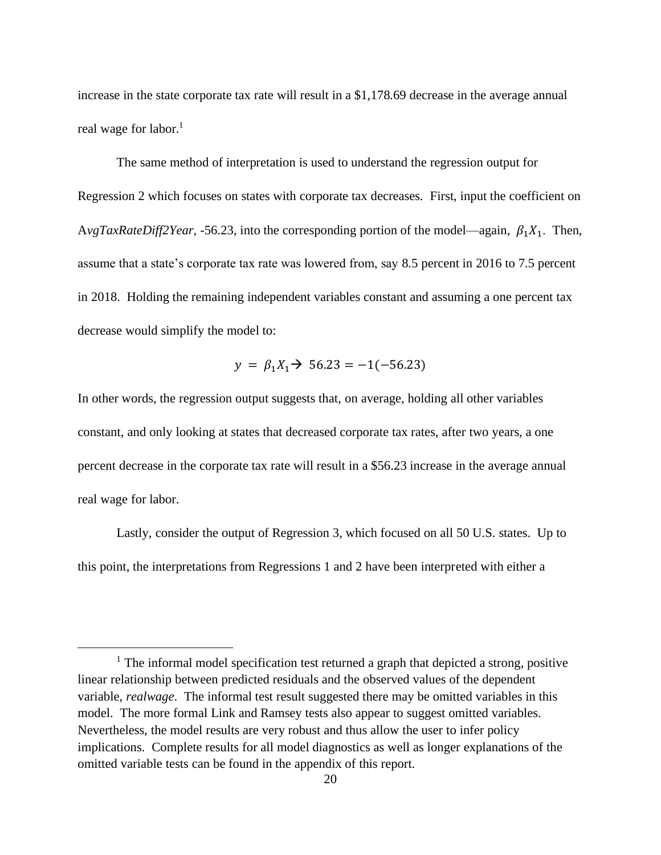increase in the state corporate tax rate will result in a \$1,178.69 decrease in the average annual real wage for labor. 1

The same method of interpretation is used to understand the regression output for Regression 2 which focuses on states with corporate tax decreases. First, input the coefficient on AvgTaxRateDiff2Year, -56.23, into the corresponding portion of the model—again,  $\beta_1 X_1$ . Then, assume that a state's corporate tax rate was lowered from, say 8.5 percent in 2016 to 7.5 percent in 2018. Holding the remaining independent variables constant and assuming a one percent tax decrease would simplify the model to:

$$
y = \beta_1 X_1 \rightarrow 56.23 = -1(-56.23)
$$

In other words, the regression output suggests that, on average, holding all other variables constant, and only looking at states that decreased corporate tax rates, after two years, a one percent decrease in the corporate tax rate will result in a \$56.23 increase in the average annual real wage for labor.

Lastly, consider the output of Regression 3, which focused on all 50 U.S. states. Up to this point, the interpretations from Regressions 1 and 2 have been interpreted with either a

<sup>&</sup>lt;sup>1</sup> The informal model specification test returned a graph that depicted a strong, positive linear relationship between predicted residuals and the observed values of the dependent variable, *realwage*. The informal test result suggested there may be omitted variables in this model. The more formal Link and Ramsey tests also appear to suggest omitted variables. Nevertheless, the model results are very robust and thus allow the user to infer policy implications. Complete results for all model diagnostics as well as longer explanations of the omitted variable tests can be found in the appendix of this report.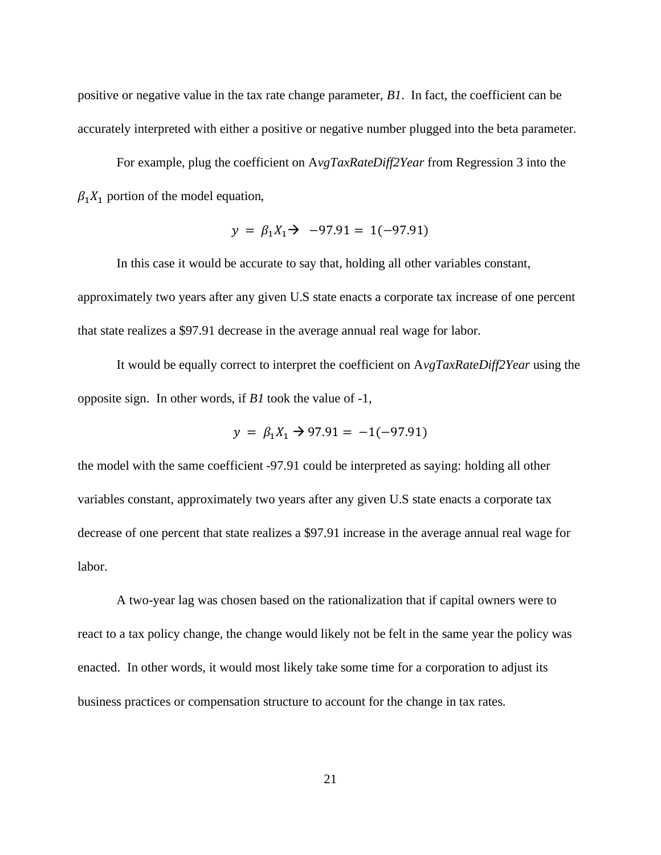positive or negative value in the tax rate change parameter, *B1*. In fact, the coefficient can be accurately interpreted with either a positive or negative number plugged into the beta parameter.

For example, plug the coefficient on A*vgTaxRateDiff2Year* from Regression 3 into the  $\beta_1 X_1$  portion of the model equation,

$$
y = \beta_1 X_1 \rightarrow -97.91 = 1(-97.91)
$$

In this case it would be accurate to say that, holding all other variables constant, approximately two years after any given U.S state enacts a corporate tax increase of one percent that state realizes a \$97.91 decrease in the average annual real wage for labor.

It would be equally correct to interpret the coefficient on A*vgTaxRateDiff2Year* using the opposite sign. In other words, if *B1* took the value of -1,

$$
y = \beta_1 X_1 \rightarrow 97.91 = -1(-97.91)
$$

the model with the same coefficient -97.91 could be interpreted as saying: holding all other variables constant, approximately two years after any given U.S state enacts a corporate tax decrease of one percent that state realizes a \$97.91 increase in the average annual real wage for labor.

A two-year lag was chosen based on the rationalization that if capital owners were to react to a tax policy change, the change would likely not be felt in the same year the policy was enacted. In other words, it would most likely take some time for a corporation to adjust its business practices or compensation structure to account for the change in tax rates.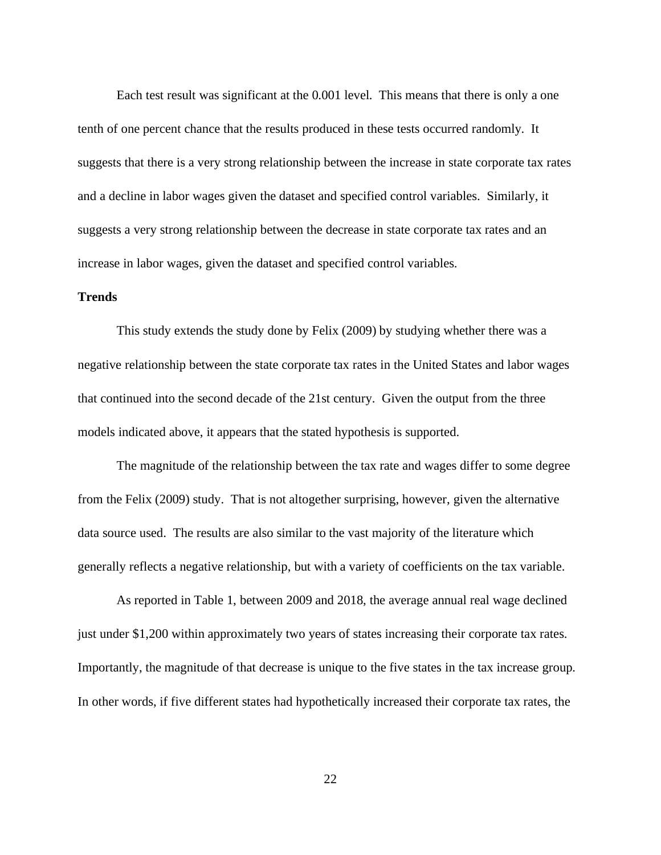Each test result was significant at the 0.001 level. This means that there is only a one tenth of one percent chance that the results produced in these tests occurred randomly. It suggests that there is a very strong relationship between the increase in state corporate tax rates and a decline in labor wages given the dataset and specified control variables. Similarly, it suggests a very strong relationship between the decrease in state corporate tax rates and an increase in labor wages, given the dataset and specified control variables.

### **Trends**

This study extends the study done by Felix (2009) by studying whether there was a negative relationship between the state corporate tax rates in the United States and labor wages that continued into the second decade of the 21st century. Given the output from the three models indicated above, it appears that the stated hypothesis is supported.

The magnitude of the relationship between the tax rate and wages differ to some degree from the Felix (2009) study. That is not altogether surprising, however, given the alternative data source used. The results are also similar to the vast majority of the literature which generally reflects a negative relationship, but with a variety of coefficients on the tax variable.

As reported in Table 1, between 2009 and 2018, the average annual real wage declined just under \$1,200 within approximately two years of states increasing their corporate tax rates. Importantly, the magnitude of that decrease is unique to the five states in the tax increase group. In other words, if five different states had hypothetically increased their corporate tax rates, the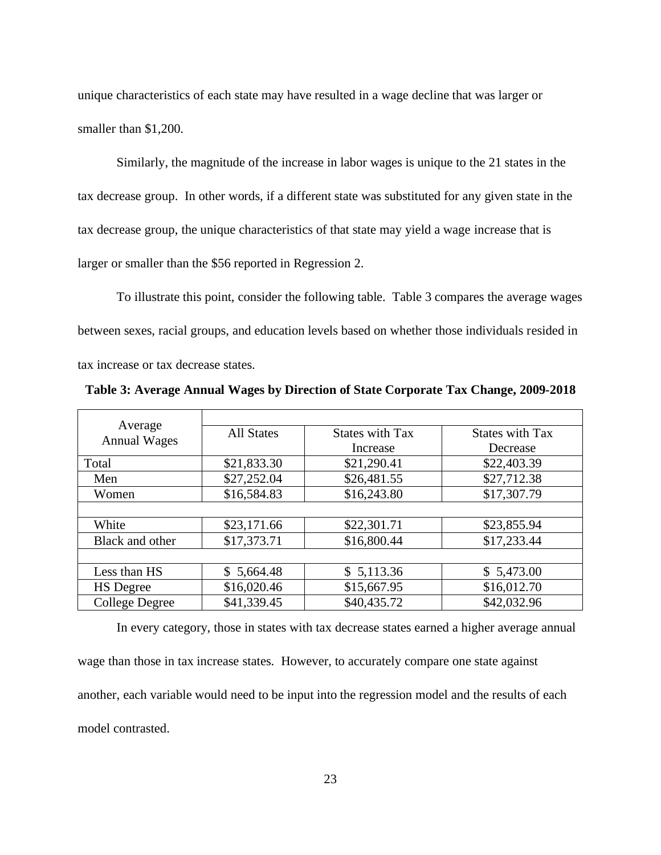unique characteristics of each state may have resulted in a wage decline that was larger or smaller than \$1,200.

Similarly, the magnitude of the increase in labor wages is unique to the 21 states in the tax decrease group. In other words, if a different state was substituted for any given state in the tax decrease group, the unique characteristics of that state may yield a wage increase that is larger or smaller than the \$56 reported in Regression 2.

To illustrate this point, consider the following table. Table 3 compares the average wages between sexes, racial groups, and education levels based on whether those individuals resided in tax increase or tax decrease states.

**Table 3: Average Annual Wages by Direction of State Corporate Tax Change, 2009-2018**

| Average<br><b>Annual Wages</b> | <b>All States</b> | <b>States with Tax</b><br>Increase | <b>States with Tax</b><br>Decrease |
|--------------------------------|-------------------|------------------------------------|------------------------------------|
| Total                          | \$21,833.30       | \$21,290.41                        | \$22,403.39                        |
| Men                            | \$27,252.04       | \$26,481.55                        | \$27,712.38                        |
| Women                          | \$16,584.83       | \$16,243.80                        | \$17,307.79                        |
|                                |                   |                                    |                                    |
| White                          | \$23,171.66       | \$22,301.71                        | \$23,855.94                        |
| Black and other                | \$17,373.71       | \$16,800.44                        | \$17,233.44                        |
|                                |                   |                                    |                                    |
| Less than HS                   | \$5,664.48        | \$5,113.36                         | \$5,473.00                         |
| <b>HS</b> Degree               | \$16,020.46       | \$15,667.95                        | \$16,012.70                        |
| <b>College Degree</b>          | \$41,339.45       | \$40,435.72                        | \$42,032.96                        |

In every category, those in states with tax decrease states earned a higher average annual

wage than those in tax increase states. However, to accurately compare one state against another, each variable would need to be input into the regression model and the results of each model contrasted.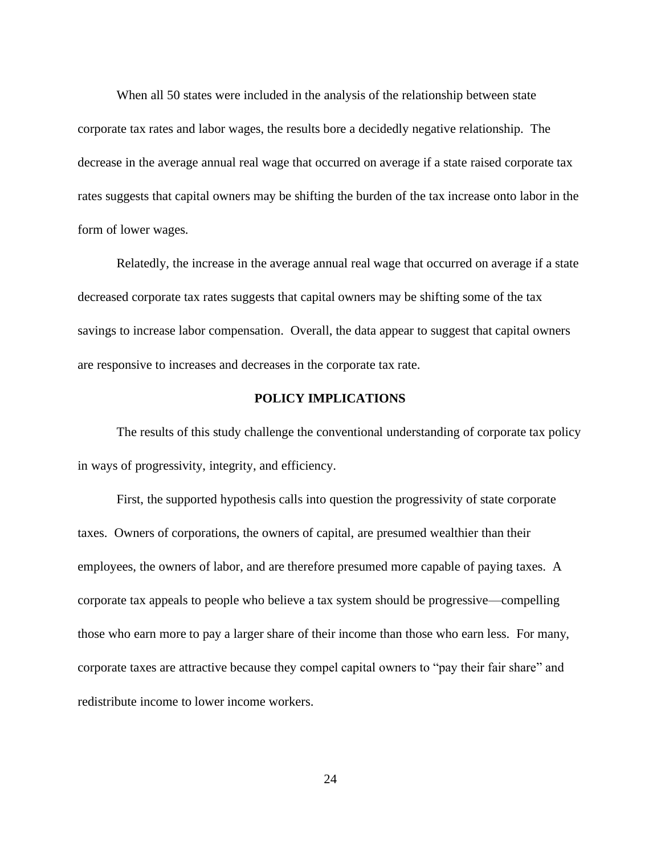When all 50 states were included in the analysis of the relationship between state corporate tax rates and labor wages, the results bore a decidedly negative relationship. The decrease in the average annual real wage that occurred on average if a state raised corporate tax rates suggests that capital owners may be shifting the burden of the tax increase onto labor in the form of lower wages.

Relatedly, the increase in the average annual real wage that occurred on average if a state decreased corporate tax rates suggests that capital owners may be shifting some of the tax savings to increase labor compensation. Overall, the data appear to suggest that capital owners are responsive to increases and decreases in the corporate tax rate.

### **POLICY IMPLICATIONS**

The results of this study challenge the conventional understanding of corporate tax policy in ways of progressivity, integrity, and efficiency.

First, the supported hypothesis calls into question the progressivity of state corporate taxes. Owners of corporations, the owners of capital, are presumed wealthier than their employees, the owners of labor, and are therefore presumed more capable of paying taxes. A corporate tax appeals to people who believe a tax system should be progressive—compelling those who earn more to pay a larger share of their income than those who earn less. For many, corporate taxes are attractive because they compel capital owners to "pay their fair share" and redistribute income to lower income workers.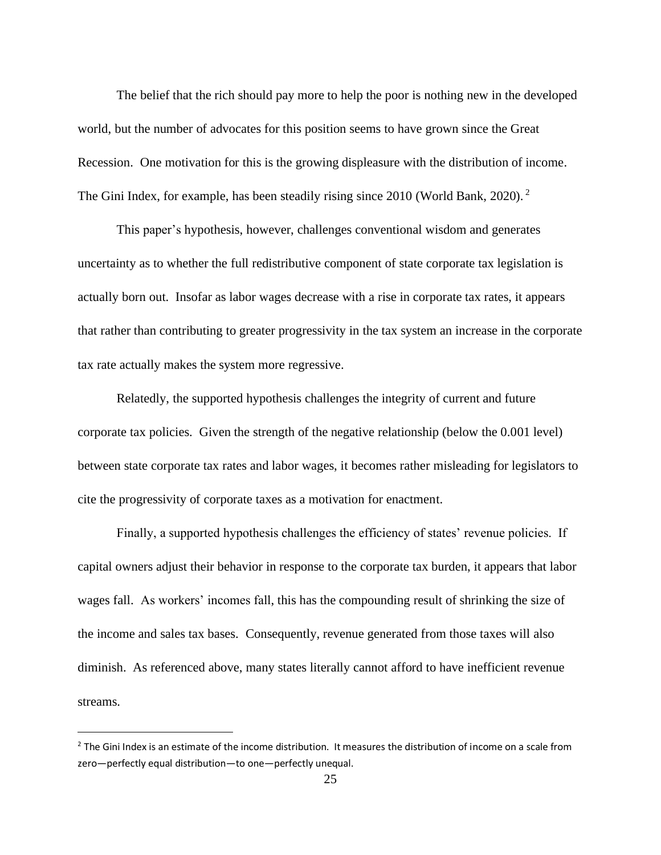The belief that the rich should pay more to help the poor is nothing new in the developed world, but the number of advocates for this position seems to have grown since the Great Recession. One motivation for this is the growing displeasure with the distribution of income. The Gini Index, for example, has been steadily rising since 2010 (World Bank, 2020). <sup>2</sup>

This paper's hypothesis, however, challenges conventional wisdom and generates uncertainty as to whether the full redistributive component of state corporate tax legislation is actually born out. Insofar as labor wages decrease with a rise in corporate tax rates, it appears that rather than contributing to greater progressivity in the tax system an increase in the corporate tax rate actually makes the system more regressive.

Relatedly, the supported hypothesis challenges the integrity of current and future corporate tax policies. Given the strength of the negative relationship (below the 0.001 level) between state corporate tax rates and labor wages, it becomes rather misleading for legislators to cite the progressivity of corporate taxes as a motivation for enactment.

Finally, a supported hypothesis challenges the efficiency of states' revenue policies. If capital owners adjust their behavior in response to the corporate tax burden, it appears that labor wages fall. As workers' incomes fall, this has the compounding result of shrinking the size of the income and sales tax bases. Consequently, revenue generated from those taxes will also diminish. As referenced above, many states literally cannot afford to have inefficient revenue streams.

<sup>&</sup>lt;sup>2</sup> The Gini Index is an estimate of the income distribution. It measures the distribution of income on a scale from zero—perfectly equal distribution—to one—perfectly unequal.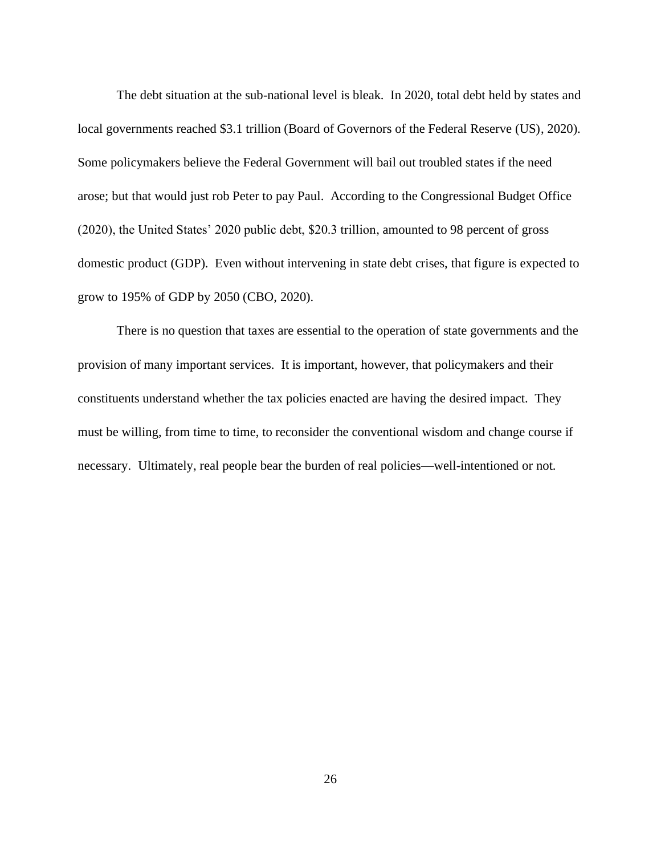The debt situation at the sub-national level is bleak. In 2020, total debt held by states and local governments reached \$3.1 trillion (Board of Governors of the Federal Reserve (US), 2020). Some policymakers believe the Federal Government will bail out troubled states if the need arose; but that would just rob Peter to pay Paul. According to the Congressional Budget Office (2020), the United States' 2020 public debt, \$20.3 trillion, amounted to 98 percent of gross domestic product (GDP). Even without intervening in state debt crises, that figure is expected to grow to 195% of GDP by 2050 (CBO, 2020).

There is no question that taxes are essential to the operation of state governments and the provision of many important services. It is important, however, that policymakers and their constituents understand whether the tax policies enacted are having the desired impact. They must be willing, from time to time, to reconsider the conventional wisdom and change course if necessary. Ultimately, real people bear the burden of real policies—well-intentioned or not.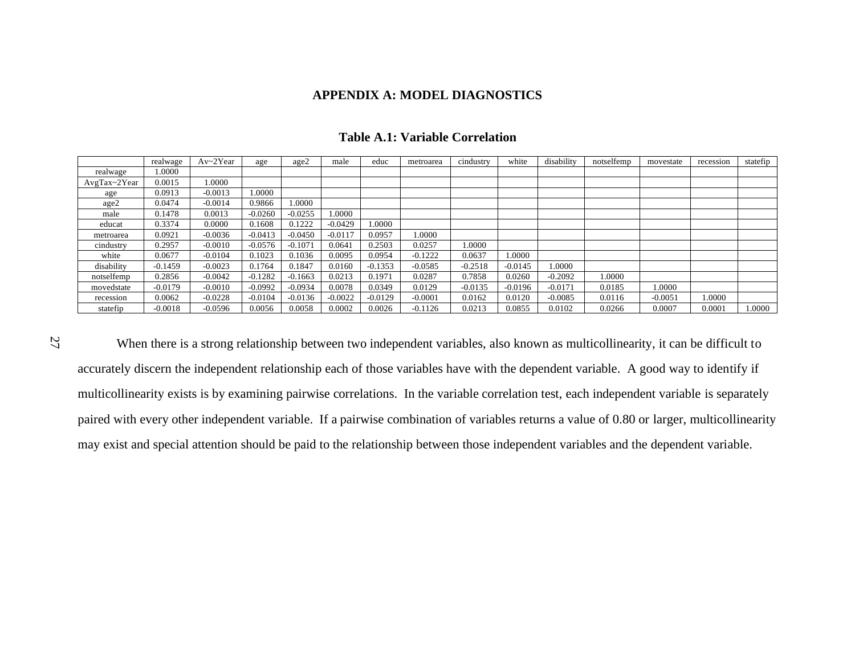### **APPENDIX A: MODEL DIAGNOSTICS**

|              | realwage  | Av~2Year  | age       | age2      | male      | educ      | metroarea | cindustry | white     | disability | notselfemp | movestate | recession | statefip |
|--------------|-----------|-----------|-----------|-----------|-----------|-----------|-----------|-----------|-----------|------------|------------|-----------|-----------|----------|
| realwage     | .0000     |           |           |           |           |           |           |           |           |            |            |           |           |          |
| AvgTax~2Year | 0.0015    | 1.0000    |           |           |           |           |           |           |           |            |            |           |           |          |
| age          | 0.0913    | $-0.0013$ | .0000     |           |           |           |           |           |           |            |            |           |           |          |
| age2         | 0.0474    | $-0.0014$ | 0.9866    | 0000.1    |           |           |           |           |           |            |            |           |           |          |
| male         | 0.1478    | 0.0013    | $-0.0260$ | $-0.0255$ | 1.0000    |           |           |           |           |            |            |           |           |          |
| educat       | 0.3374    | 0.0000    | 0.1608    | 0.1222    | $-0.0429$ | 1.0000    |           |           |           |            |            |           |           |          |
| metroarea    | 0.0921    | $-0.0036$ | $-0.0413$ | $-0.0450$ | $-0.0117$ | 0.0957    | 1.0000    |           |           |            |            |           |           |          |
| cindustry    | 0.2957    | $-0.0010$ | $-0.0576$ | $-0.1071$ | 0.0641    | 0.2503    | 0.0257    | 1.0000    |           |            |            |           |           |          |
| white        | 0.0677    | $-0.0104$ | 0.1023    | 0.1036    | 0.0095    | 0.0954    | $-0.1222$ | 0.0637    | 1.0000    |            |            |           |           |          |
| disability   | $-0.1459$ | $-0.0023$ | 0.1764    | 0.1847    | 0.0160    | $-0.1353$ | $-0.0585$ | $-0.2518$ | $-0.0145$ | .0000      |            |           |           |          |
| notselfemp   | 0.2856    | $-0.0042$ | $-0.1282$ | $-0.1663$ | 0.0213    | 0.1971    | 0.0287    | 0.7858    | 0.0260    | $-0.2092$  | 1.0000     |           |           |          |
| movedstate   | $-0.0179$ | $-0.0010$ | $-0.0992$ | $-0.0934$ | 0.0078    | 0.0349    | 0.0129    | $-0.0135$ | $-0.0196$ | $-0.0171$  | 0.0185     | 1.0000    |           |          |
| recession    | 0.0062    | $-0.0228$ | $-0.0104$ | $-0.0136$ | $-0.0022$ | $-0.0129$ | $-0.0001$ | 0.0162    | 0.0120    | $-0.0085$  | 0.0116     | $-0.0051$ | 1.0000    |          |
| statefip     | $-0.0018$ | $-0.0596$ | 0.0056    | 0.0058    | 0.0002    | 0.0026    | $-0.1126$ | 0.0213    | 0.0855    | 0.0102     | 0.0266     | 0.0007    | 0.0001    | .0000    |

### **Table A.1: Variable Correlation**

When there is a strong relationship between two independent variables, also known as multicollinearity, it can be difficult to accurately discern the independent relationship each of those variables have with the dependent variable. A good way to identify if multicollinearity exists is by examining pairwise correlations. In the variable correlation test, each independent variable is separately paired with every other independent variable. If a pairwise combination of variables returns a value of 0.80 or larger, multicollinearity may exist and special attention should be paid to the relationship between those independent variables and the dependent variable.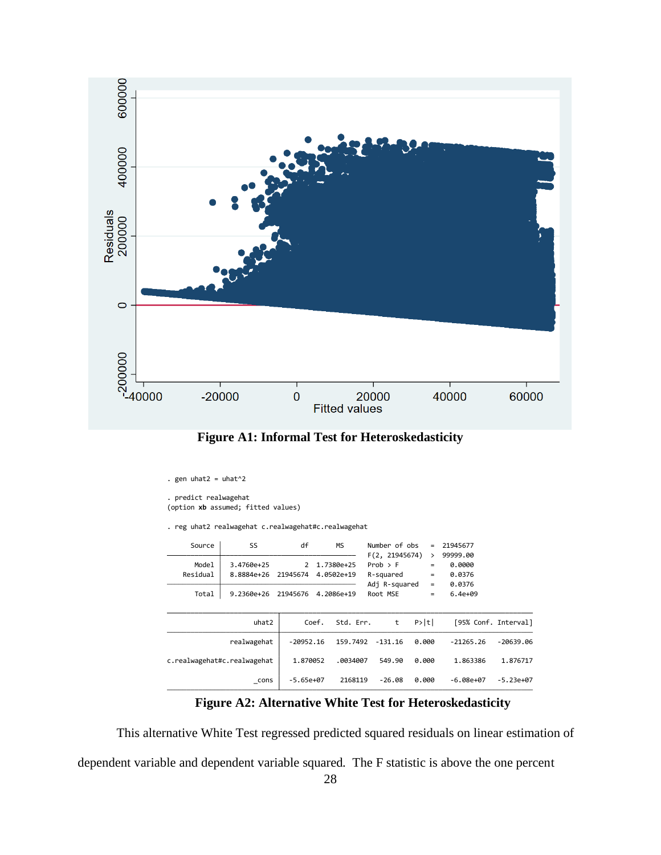



```
. gen uhat2 = uhat^2
```

```
. predict realwagehat
```

```
(option xb assumed; fitted values)
```
. reg uhat2 realwagehat c.realwagehat#c.realwagehat

| Source                      | SS             | df            | <b>MS</b>          | Number of obs  | $=$               | 21945677             |             |
|-----------------------------|----------------|---------------|--------------------|----------------|-------------------|----------------------|-------------|
|                             |                |               |                    | F(2, 21945674) | ⋋                 | 99999.00             |             |
| Model                       | 3.4760e+25     | $\mathcal{P}$ | 1.7380e+25         | $Prob$ > $F$   | $=$               | 0.0000               |             |
| Residual                    | 8.8884e+26     | 21945674      | 4.0502e+19         | R-squared      | $=$               | 0.0376               |             |
|                             |                |               |                    | Adj R-squared  | $=$               | 0.0376               |             |
| Total                       | $9.2360e + 26$ | 21945676      | 4.2086e+19         | Root MSE       | $\qquad \qquad =$ | $6.4e + 09$          |             |
|                             |                |               |                    |                |                   |                      |             |
|                             | uhat2          |               | Coef.<br>Std. Err. | t              | P> t              | [95% Conf. Interval] |             |
|                             | realwagehat    | $-20952.16$   | 159.7492           | $-131.16$      | 0.000             | $-21265.26$          | $-20639.06$ |
| c.realwagehat#c.realwagehat |                | 1.870052      | .0034007           | 549.90         | 0.000             | 1.863386             | 1.876717    |
|                             | cons           | $-5.65e+07$   | 2168119            | $-26.08$       | 0.000             | -6.08e+07            | $-5.23e+07$ |

# **Figure A2: Alternative White Test for Heteroskedasticity**

This alternative White Test regressed predicted squared residuals on linear estimation of

dependent variable and dependent variable squared. The F statistic is above the one percent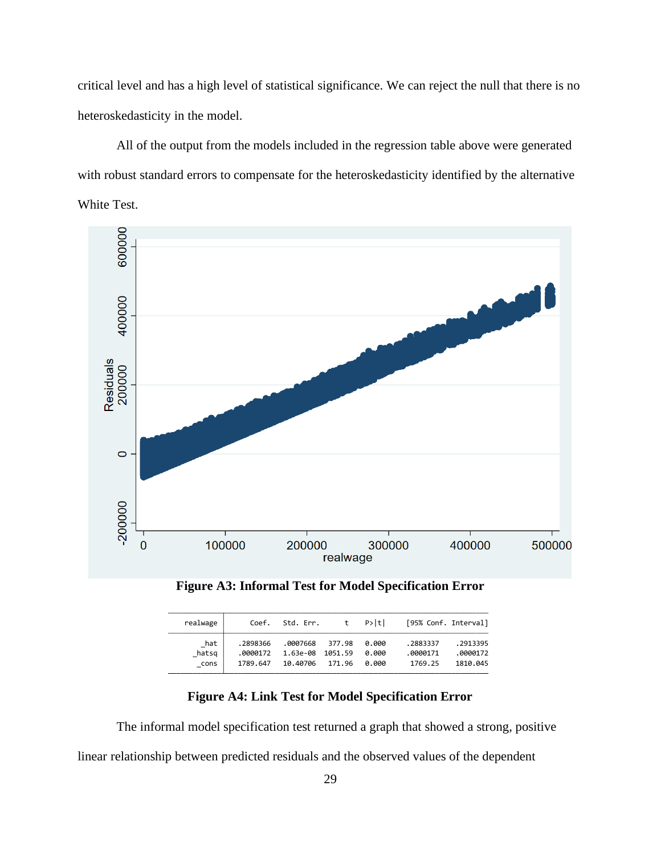critical level and has a high level of statistical significance. We can reject the null that there is no heteroskedasticity in the model.

All of the output from the models included in the regression table above were generated with robust standard errors to compensate for the heteroskedasticity identified by the alternative White Test.





| realwage | Coef.    | Std. Err.        |        | t P>ltl |          | [95% Conf. Interval] |
|----------|----------|------------------|--------|---------|----------|----------------------|
| hat      | .2898366 | .0007668 377.98  | 171.96 | 0.000   | .2883337 | .2913395             |
| hatsg    | .0000172 | 1.63e-08 1051.59 |        | 0.000   | .0000171 | .0000172             |
| cons     | 1789.647 | 10.40706         |        | 0.000   | 1769.25  | 1810.045             |

**Figure A4: Link Test for Model Specification Error**

The informal model specification test returned a graph that showed a strong, positive linear relationship between predicted residuals and the observed values of the dependent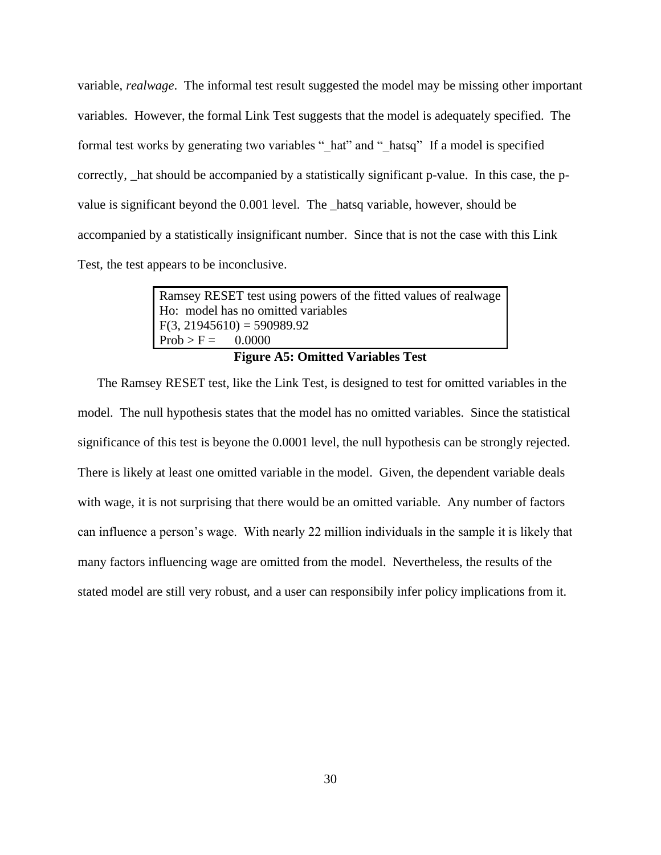variable, *realwage*. The informal test result suggested the model may be missing other important variables. However, the formal Link Test suggests that the model is adequately specified. The formal test works by generating two variables " hat" and " hatsq" If a model is specified correctly, \_hat should be accompanied by a statistically significant p-value. In this case, the pvalue is significant beyond the 0.001 level. The \_hatsq variable, however, should be accompanied by a statistically insignificant number. Since that is not the case with this Link Test, the test appears to be inconclusive.

> Ramsey RESET test using powers of the fitted values of realwage Ho: model has no omitted variables  $F(3, 21945610) = 590989.92$  $Prob > F = 0.0000$ **Figure A5: Omitted Variables Test**

The Ramsey RESET test, like the Link Test, is designed to test for omitted variables in the model. The null hypothesis states that the model has no omitted variables. Since the statistical significance of this test is beyone the 0.0001 level, the null hypothesis can be strongly rejected. There is likely at least one omitted variable in the model. Given, the dependent variable deals with wage, it is not surprising that there would be an omitted variable. Any number of factors can influence a person's wage. With nearly 22 million individuals in the sample it is likely that many factors influencing wage are omitted from the model. Nevertheless, the results of the stated model are still very robust, and a user can responsibily infer policy implications from it.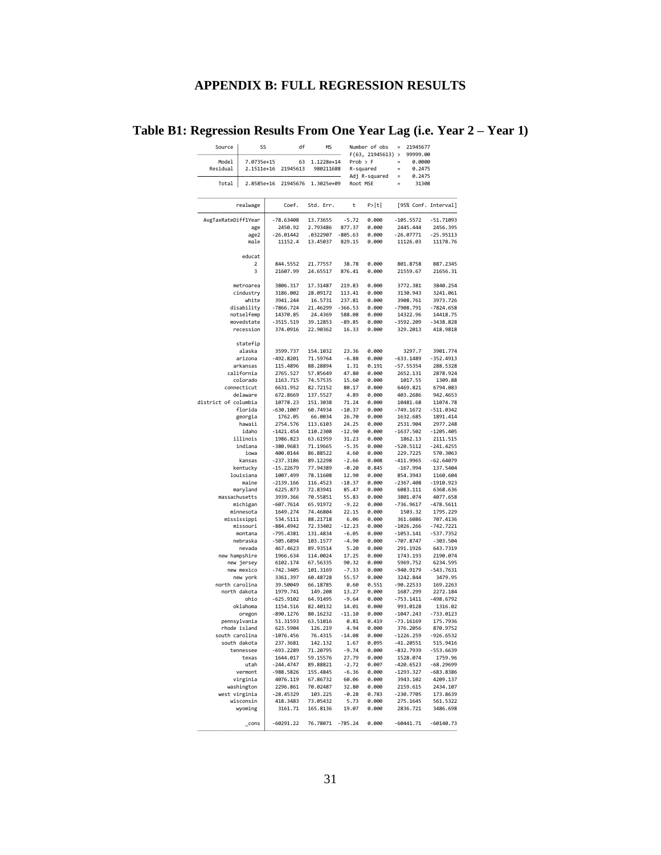# **APPENDIX B: FULL REGRESSION RESULTS**

# **Table B1: Regression Results From One Year Lag (i.e. Year 2 – Year 1)**

| Source               | SS                        | df                       | <b>MS</b>            |                     | Number of obs<br>F(63, 21945613) | 21945677<br>$=$<br>99999.00   |                          |
|----------------------|---------------------------|--------------------------|----------------------|---------------------|----------------------------------|-------------------------------|--------------------------|
| Model                | 7.0735e+15                | 63                       | 1.1228e+14           |                     | $Prob$ > $F$                     | 0.0000                        |                          |
| Residual             | 2.1511e+16                | 21945613                 | 980211688            |                     | R-squared                        | $=$<br>0.2475                 |                          |
| Total                | 2.8585e+16                | 21945676                 | 1.3025e+09           |                     | Adj R-squared<br>Root MSE        | $=$<br>0.2475<br>31308<br>$=$ |                          |
|                      |                           |                          |                      |                     |                                  |                               |                          |
|                      | realwage                  | Coef.                    | Std. Err.            | t                   | P> t                             | [95% Conf. Interval]          |                          |
|                      |                           |                          |                      |                     |                                  |                               |                          |
| AvgTaxRateDiff1Year  |                           | -78.63408                | 13.73655             | $-5.72$             | 0.000                            | $-105.5572$                   | $-51.71093$              |
|                      | age<br>age2               | 2450.92<br>$-26.01442$   | 2.793486<br>.0322907 | 877.37<br>$-805.63$ | 0.000<br>0.000                   | 2445.444<br>$-26.07771$       | 2456.395<br>$-25.95113$  |
|                      | male                      | 11152.4                  | 13.45037             | 829.15              | 0.000                            | 11126.03                      | 11178.76                 |
|                      |                           |                          |                      |                     |                                  |                               |                          |
|                      | educat<br>2               | 844.5552                 | 21.77557             | 38.78               | 0.000                            | 801.8758                      | 887.2345                 |
|                      | 3                         | 21607.99                 | 24.65517             | 876.41              | 0.000                            | 21559.67                      | 21656.31                 |
|                      |                           |                          |                      |                     |                                  |                               |                          |
|                      | metroarea                 | 3806.317                 | 17.31487             | 219.83              | 0.000                            | 3772.381                      | 3840.254                 |
|                      | cindustry<br>white        | 3186.002<br>3941.244     | 28.09172<br>16.5731  | 113.41<br>237.81    | 0.000<br>0.000                   | 3130.943<br>3908.761          | 3241.061<br>3973.726     |
|                      | disability                | -7866.724                | 21.46299             | $-366.53$           | 0.000                            | -7908.791                     | $-7824.658$              |
|                      | notselfemp                | 14370.85                 | 24.4369              | 588.08              | 0.000                            | 14322.96                      | 14418.75                 |
|                      | movedstate                | $-3515.519$              | 39.12853             | $-89.85$            | 0.000                            | $-3592.209$                   | $-3438.828$              |
|                      | recession                 | 374.0916                 | 22.90362             | 16.33               | 0.000                            | 329.2013                      | 418.9818                 |
|                      | statefip                  |                          |                      |                     |                                  |                               |                          |
|                      | alaska                    | 3599.737                 | 154,1032             | 23.36               | 0.000                            | 3297.7                        | 3901.774                 |
|                      | arizona                   | $-492.8201$              | 71.59764             | $-6.88$             | 0.000                            | $-633.1489$                   | - 352.4913               |
|                      | arkansas                  | 115.4896                 | 88.28894             | 1.31                | 0.191                            | $-57.55354$                   | 288.5328                 |
|                      | california<br>colorado    | 2765.527<br>1163.715     | 57.85649<br>74.57535 | 47.80<br>15.60      | 0.000<br>0.000                   | 2652.131<br>1017.55           | 2878.924<br>1309.88      |
|                      | connecticut               | 6631.952                 | 82.72152             | 80.17               | 0.000                            | 6469.821                      | 6794.083                 |
|                      | delaware                  | 672.8669                 | 137.5527             | 4.89                | 0.000                            | 403.2686                      | 942.4653                 |
| district of columbia |                           | 10778.23                 | 151.3038             | 71.24               | 0.000                            | 10481.68                      | 11074.78                 |
|                      | florida                   | $-630.1007$              | 60.74934<br>66.0034  | $-10.37$<br>26.70   | 0.000                            | $-749.1672$                   | $-511.0342$              |
|                      | georgia<br>hawaii         | 1762.05<br>2754.576      | 113.6103             | 24.25               | 0.000<br>0.000                   | 1632.685<br>2531.904          | 1891.414<br>2977.248     |
|                      | idaho                     | $-1421.454$              | 110.2308             | $-12.90$            | 0.000                            | $-1637.502$                   | $-1205.405$              |
|                      | illinois                  | 1986.823                 | 63.61959             | 31.23               | 0.000                            | 1862.13                       | 2111.515                 |
|                      | indiana                   | -380.9683                | 71.19665             | $-5.35$             | 0.000                            | $-520.5112$                   | $-241.4255$              |
|                      | iowa<br>kansas            | 400.0144<br>$-237.3186$  | 86.88522<br>89.12298 | 4.60<br>$-2.66$     | 0.000<br>0.008                   | 229.7225<br>$-411.9965$       | 570.3063<br>$-62.64079$  |
|                      | kentucky                  | $-15.22679$              | 77.94389             | $-0.20$             | 0.845                            | $-167.994$                    | 137.5404                 |
|                      | louisiana                 | 1007.499                 | 78.11608             | 12.90               | 0.000                            | 854.3943                      | 1160.604                 |
|                      | maine                     | $-2139.166$              | 116.4523             | $-18.37$            | 0.000                            | $-2367.408$                   | $-1910.923$              |
| massachusetts        | maryland                  | 6225.873<br>3939.366     | 72.83941<br>70.55851 | 85.47<br>55.83      | 0.000<br>0.000                   | 6083.111<br>3801.074          | 6368.636<br>4077.658     |
|                      | michigan                  | $-607.7614$              | 65.91972             | $-9.22$             | 0.000                            | -736.9617                     | $-478.5611$              |
|                      | minnesota                 | 1649.274                 | 74.46804             | 22.15               | 0.000                            | 1503.32                       | 1795.229                 |
|                      | mississippi               | 534.5111                 | 88.21718             | 6.06                | 0.000                            | 361.6086                      | 707.4136                 |
|                      | missouri<br>montana       | $-884.4942$<br>-795.4381 | 72.33402<br>131.4834 | $-12.23$<br>$-6.05$ | 0.000<br>0.000                   | $-1026.266$<br>-1053.141      | $-742.7221$<br>-537.7352 |
|                      | nebraska                  | -505.6894                | 103.1577             | $-4.90$             | 0.000                            | $-707.8747$                   | $-303.504$               |
|                      | nevada                    | 467.4623                 | 89.93514             | 5.20                | 0.000                            | 291.1926                      | 643.7319                 |
| new hampshire        |                           | 1966.634                 | 114.0024             | 17.25               | 0.000                            | 1743.193                      | 2190.074                 |
|                      | new jersey<br>new mexico  | 6102.174<br>-742.3405    | 67.56335<br>101.3169 | 90.32<br>$-7.33$    | 0.000<br>0.000                   | 5969.752<br>-940.9179         | 6234.595<br>$-543.7631$  |
|                      | new york                  | 3361.397                 | 60.48728             | 55.57               | 0.000                            | 3242.844                      | 3479.95                  |
| north carolina       |                           | 39.50049                 | 66.18785             | 0.60                | 0.551                            | $-90.22533$                   | 169.2263                 |
|                      | north dakota              | 1979.741                 | 149.208              | 13.27               | 0.000                            | 1687.299                      | 2272.184                 |
|                      | ohio                      | $-625.9102$              | 64.91495             | $-9.64$             | 0.000                            | $-753.1411$                   | $-498.6792$              |
|                      | oklahoma<br>oregon        | 1154.516<br>$-890.1276$  | 82.40132<br>80.16232 | 14.01<br>$-11.10$   | 0.000<br>0.000                   | 993.0128<br>$-1047.243$       | 1316.02<br>$-733.0123$   |
|                      | pennsylvania              | 51.31593                 | 63.51016             | 0.81                | 0.419                            | $-73.16169$                   | 175.7936                 |
|                      | rhode island              | 623.5904                 | 126.219              | 4.94                | 0.000                            | 376.2056                      | 870.9752                 |
| south carolina       |                           | $-1076.456$              | 76.4315              | $-14.08$            | 0.000                            | $-1226.259$                   | $-926.6532$              |
|                      | south dakota<br>tennessee | 237.3681<br>-693.2289    | 142.132<br>71.20795  | 1.67<br>$-9.74$     | 0.095<br>0.000                   | $-41.20551$<br>$-832.7939$    | 515.9416<br>$-553.6639$  |
|                      | texas                     | 1644.017                 | 59.15576             | 27.79               | 0.000                            | 1528.074                      | 1759.96                  |
|                      | utah                      | -244.4747                | 89.88821             | $-2.72$             | 0.007                            | $-420.6523$                   | $-68.29699$              |
|                      | vermont                   | $-988.5826$              | 155.4845             | $-6.36$             | 0.000                            | $-1293.327$                   | $-683.8386$              |
|                      | virginia<br>washington    | 4076.119<br>2296.861     | 67.86732             | 60.06               | 0.000                            | 3943.102                      | 4209.137                 |
| west virginia        |                           | -28.45329                | 70.02487<br>103.225  | 32.80<br>$-0.28$    | 0.000<br>0.783                   | 2159.615<br>$-230.7705$       | 2434.107<br>173.8639     |
|                      | wisconsin                 | 418.3483                 | 73.05432             | 5.73                | 0.000                            | 275.1645                      | 561.5322                 |
|                      | wyoming                   | 3161.71                  | 165.8136             | 19.07               | 0.000                            | 2836.721                      | 3486.698                 |
|                      | _cons                     | $-60291.22$              | 76.78071             | $-785.24$           | 0.000                            | $-60441.71$                   | $-60140.73$              |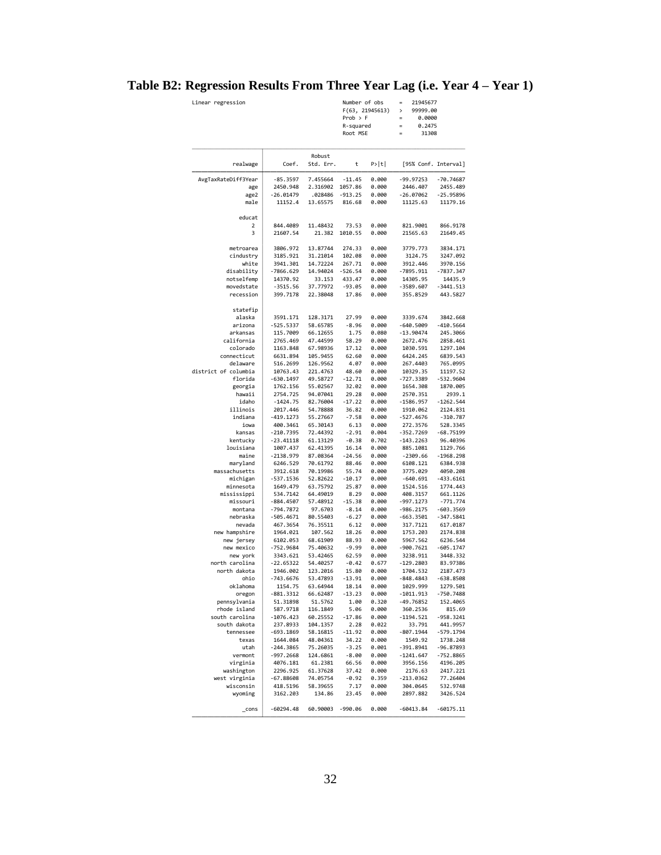# **Table B2: Regression Results From Three Year Lag (i.e. Year 4 – Year 1)**

| Linear regression |       |                     | Number of obs<br>$Prob$ > $F$<br>R-squared<br>Root MSE | F(63, 21945613) | $=$<br>$\mathbf{r}$<br>$\equiv$<br>$=$<br>$\equiv$ | 21945677<br>99999.00<br>0.0000<br>0.2475<br>31308 |  |
|-------------------|-------|---------------------|--------------------------------------------------------|-----------------|----------------------------------------------------|---------------------------------------------------|--|
| realwage          | Coef. | Robust<br>Std. Err. | t                                                      | P> t            |                                                    | [95% Conf. Intery                                 |  |

| realwage                  | Coef.                 | Std. Err.            | t                | P> t           | [95% Conf. Interval]    |                       |
|---------------------------|-----------------------|----------------------|------------------|----------------|-------------------------|-----------------------|
| AvgTaxRateDiff3Year       | $-85.3597$            | 7.455664             | $-11.45$         | 0.000          | $-99.97253$             | $-70.74687$           |
| age                       | 2450.948              | 2.316902             | 1057.86          | 0.000          | 2446.407                | 2455.489              |
| age2                      | $-26.01479$           | .028486              | $-913.25$        | 0.000          | $-26.07062$             | $-25.95896$           |
| male                      | 11152.4               | 13.65575             | 816.68           | 0.000          | 11125.63                | 11179.16              |
|                           |                       |                      |                  |                |                         |                       |
| educat<br>2               | 844,4089              | 11.48432             | 73.53            | 0.000          | 821.9001                | 866.9178              |
| 3                         | 21607.54              | 21.382               | 1010.55          | 0.000          | 21565.63                | 21649.45              |
|                           |                       |                      |                  |                |                         |                       |
| metroarea                 | 3806.972              | 13.87744             | 274.33           | 0.000          | 3779.773                | 3834.171              |
| cindustry                 | 3185.921              | 31.21014             | 102.08           | 0.000          | 3124.75                 | 3247.092              |
| white                     | 3941.301              | 14.72224             | 267.71           | 0.000          | 3912.446                | 3970.156              |
| disability                | $-7866.629$           | 14.94024             | $-526.54$        | 0.000          | $-7895.911$             | -7837.347             |
| notselfemp                | 14370.92              | 33.153               | 433.47           | 0.000          | 14305.95                | 14435.9               |
| movedstate                | $-3515.56$            | 37.77972             | $-93.05$         | 0.000          | $-3589.607$             | $-3441.513$           |
| recession                 | 399.7178              | 22.38048             | 17.86            | 0.000          | 355.8529                | 443.5827              |
| statefip                  |                       |                      |                  |                |                         |                       |
| alaska                    | 3591.171              | 128.3171             | 27.99            | 0.000          | 3339.674                | 3842.668              |
| arizona                   | $-525.5337$           | 58.65785             | $-8.96$          | 0.000          | $-640.5009$             | $-410.5664$           |
| arkansas                  | 115.7009              | 66.12655             | 1.75             | 0.080          | $-13.90474$             | 245.3066              |
| california                | 2765.469              | 47.44599             | 58.29            | 0.000          | 2672.476                | 2858.461              |
| colorado                  | 1163.848              | 67.98936             | 17.12            | 0.000          | 1030.591                | 1297.104              |
| connecticut               | 6631.894              | 105.9455             | 62.60            | 0.000          | 6424.245                | 6839.543              |
| delaware                  | 516.2699              | 126.9562             | 4.07             | 0.000          | 267,4403                | 765.0995              |
| district of columbia      | 10763.43              | 221.4763             | 48.60            | 0.000          | 10329.35                | 11197.52              |
| florida                   | $-630.1497$           | 49.58727             | $-12.71$         | 0.000          | $-727.3389$             | $-532.9604$           |
| georgia                   | 1762.156              | 55.02567             | 32.02            | 0.000          | 1654.308                | 1870.005              |
| hawaii                    | 2754.725              | 94.07041             | 29.28            | 0.000          | 2570.351                | 2939.1                |
| idaho                     | $-1424.75$            | 82.76004             | $-17.22$         | 0.000          | $-1586.957$             | $-1262.544$           |
| illinois                  | 2017.446              | 54.78888             | 36.82            | 0.000          | 1910.062                | 2124.831              |
| indiana                   | $-419.1273$           | 55.27667             | $-7.58$          | 0.000          | $-527.4676$             | $-310.787$            |
| iowa                      | 400.3461              | 65.30143             | 6.13             | 0.000          | 272.3576                | 528.3345              |
| kansas                    | $-210.7395$           | 72.44392             | $-2.91$          | 0.004          | $-352.7269$             | $-68.75199$           |
| kentucky                  | $-23.41118$           | 61.13129             | $-0.38$          | 0.702          | $-143.2263$             | 96.40396              |
| louisiana                 | 1007.437              | 62.41395             | 16.14            | 0.000          | 885.1081                | 1129.766              |
| maine                     | $-2138.979$           | 87.08364             |                  | 0.000          | $-2309.66$              | $-1968.298$           |
|                           |                       |                      | $-24.56$         |                | 6108.121                |                       |
| maryland<br>massachusetts | 6246.529<br>3912.618  | 70.61792<br>70.19986 | 88.46<br>55.74   | 0.000<br>0.000 | 3775.029                | 6384.938<br>4050.208  |
| michigan                  | $-537.1536$           | 52.82622             | $-10.17$         | 0.000          | $-640.691$              | $-433.6161$           |
| minnesota                 | 1649.479              | 63.75792             | 25.87            | 0.000          | 1524.516                | 1774.443              |
| mississippi               | 534.7142              | 64.49019             | 8.29             | 0.000          | 408.3157                | 661.1126              |
| missouri                  | $-884.4507$           | 57.48912             | $-15.38$         | 0.000          | $-997.1273$             | $-771.774$            |
|                           | $-794.7872$           |                      | $-8.14$          |                |                         |                       |
| montana                   |                       | 97.6703              |                  | 0.000          | $-986.2175$             | $-603.3569$           |
| nebraska                  | $-505.4671$           | 80.55403             | $-6.27$          | 0.000          | -663.3501               | $-347.5841$           |
| nevada                    | 467.3654              | 76.35511             | 6.12             | 0.000          | 317.7121                | 617.0187              |
| new hampshire             | 1964.021              | 107.562              | 18.26            | 0.000          | 1753.203                | 2174.838              |
| new jersey                | 6102.053              | 68.61909<br>75.40632 | 88.93            | 0.000          | 5967.562<br>$-900.7621$ | 6236.544              |
| new mexico<br>new york    | -752.9684<br>3343.621 | 53.42465             | $-9.99$<br>62.59 | 0.000<br>0.000 | 3238.911                | -605.1747<br>3448.332 |
| north carolina            | $-22.65322$           | 54.40257             | $-0.42$          | 0.677          | $-129.2803$             | 83.97386              |
| north dakota              |                       |                      |                  |                | 1704.532                |                       |
|                           | 1946.002              | 123.2016             | 15.80            | 0.000          |                         | 2187.473              |
| ohio                      | -743.6676             | 53.47893             | $-13.91$         | 0.000          | $-848.4843$             | $-638.8508$           |
| oklahoma                  | 1154.75               | 63.64944             | 18.14            | 0.000          | 1029.999                | 1279.501              |
| oregon                    | $-881.3312$           | 66.62487             | $-13.23$         | 0.000          | $-1011.913$             | $-750.7488$           |
| pennsylvania              | 51.31898              | 51.5762              | 1.00             | 0.320          | $-49.76852$             | 152.4065              |
| rhode island              | 587.9718              | 116.1849             | 5.06             | 0.000          | 360.2536                | 815.69                |
| south carolina            | $-1076.423$           | 60.25552             | $-17.86$         | 0.000          | $-1194.521$             | $-958.3241$           |
| south dakota              | 237.8933              | 104.1357             | 2.28             | 0.022          | 33.791                  | 441.9957              |
| tennessee                 | $-693.1869$           | 58.16815             | $-11.92$         | 0.000          | $-807.1944$             | $-579.1794$           |
| texas                     | 1644.084              | 48.04361             | 34.22            | 0.000          | 1549.92                 | 1738.248              |
| utah                      | -244.3865             | 75.26035             | $-3.25$          | 0.001          | -391.8941               | -96.87893             |
| vermont                   | -997.2668             | 124.6861             | $-8.00$          | 0.000          | $-1241.647$             | -752.8865             |
| virginia                  | 4076.181              | 61.2381              | 66.56            | 0.000          | 3956.156                | 4196.205              |
| washington                | 2296.925              | 61.37628             | 37.42            | 0.000          | 2176.63                 | 2417.221              |
| west virginia             | $-67.88608$           | 74.05754             | $-0.92$          | 0.359          | $-213.0362$             | 77.26404              |
| wisconsin                 | 418.5196              | 58.39655             | 7.17             | 0.000          | 304,0645                | 532.9748              |
| wyoming                   | 3162.203              | 134.86               | 23.45            | 0.000          | 2897.882                | 3426.524              |
| _cons                     | $-60294.48$           | 60.90003             | $-990.06$        | 0.000          | $-60413.84$             | $-60175.11$           |
|                           |                       |                      |                  |                |                         |                       |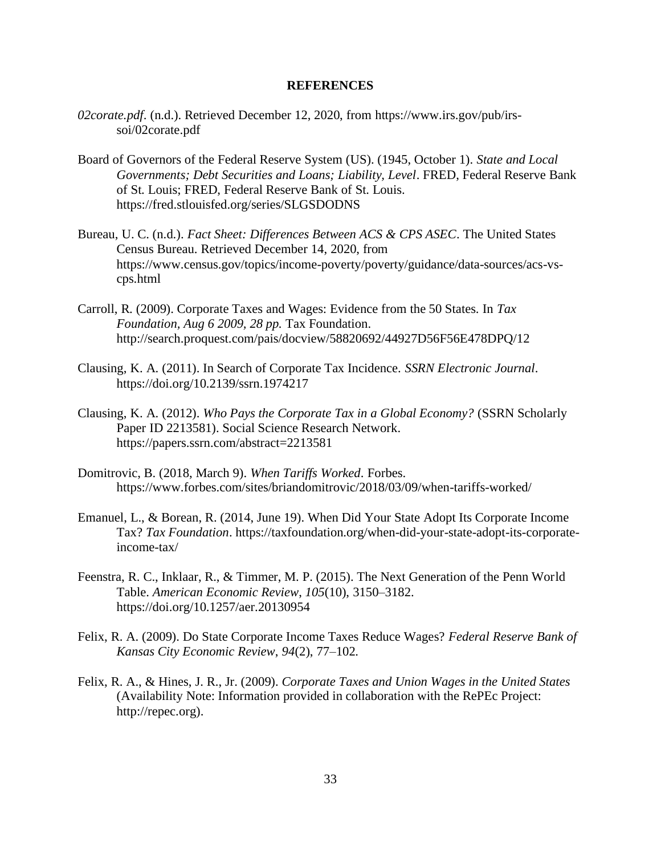#### **REFERENCES**

- *02corate.pdf*. (n.d.). Retrieved December 12, 2020, from https://www.irs.gov/pub/irssoi/02corate.pdf
- Board of Governors of the Federal Reserve System (US). (1945, October 1). *State and Local Governments; Debt Securities and Loans; Liability, Level*. FRED, Federal Reserve Bank of St. Louis; FRED, Federal Reserve Bank of St. Louis. https://fred.stlouisfed.org/series/SLGSDODNS
- Bureau, U. C. (n.d.). *Fact Sheet: Differences Between ACS & CPS ASEC*. The United States Census Bureau. Retrieved December 14, 2020, from https://www.census.gov/topics/income-poverty/poverty/guidance/data-sources/acs-vscps.html
- Carroll, R. (2009). Corporate Taxes and Wages: Evidence from the 50 States. In *Tax Foundation, Aug 6 2009, 28 pp.* Tax Foundation. http://search.proquest.com/pais/docview/58820692/44927D56F56E478DPQ/12
- Clausing, K. A. (2011). In Search of Corporate Tax Incidence. *SSRN Electronic Journal*. https://doi.org/10.2139/ssrn.1974217
- Clausing, K. A. (2012). *Who Pays the Corporate Tax in a Global Economy?* (SSRN Scholarly Paper ID 2213581). Social Science Research Network. https://papers.ssrn.com/abstract=2213581
- Domitrovic, B. (2018, March 9). *When Tariffs Worked*. Forbes. https://www.forbes.com/sites/briandomitrovic/2018/03/09/when-tariffs-worked/
- Emanuel, L., & Borean, R. (2014, June 19). When Did Your State Adopt Its Corporate Income Tax? *Tax Foundation*. https://taxfoundation.org/when-did-your-state-adopt-its-corporateincome-tax/
- Feenstra, R. C., Inklaar, R., & Timmer, M. P. (2015). The Next Generation of the Penn World Table. *American Economic Review*, *105*(10), 3150–3182. https://doi.org/10.1257/aer.20130954
- Felix, R. A. (2009). Do State Corporate Income Taxes Reduce Wages? *Federal Reserve Bank of Kansas City Economic Review*, *94*(2), 77–102.
- Felix, R. A., & Hines, J. R., Jr. (2009). *Corporate Taxes and Union Wages in the United States* (Availability Note: Information provided in collaboration with the RePEc Project: http://repec.org).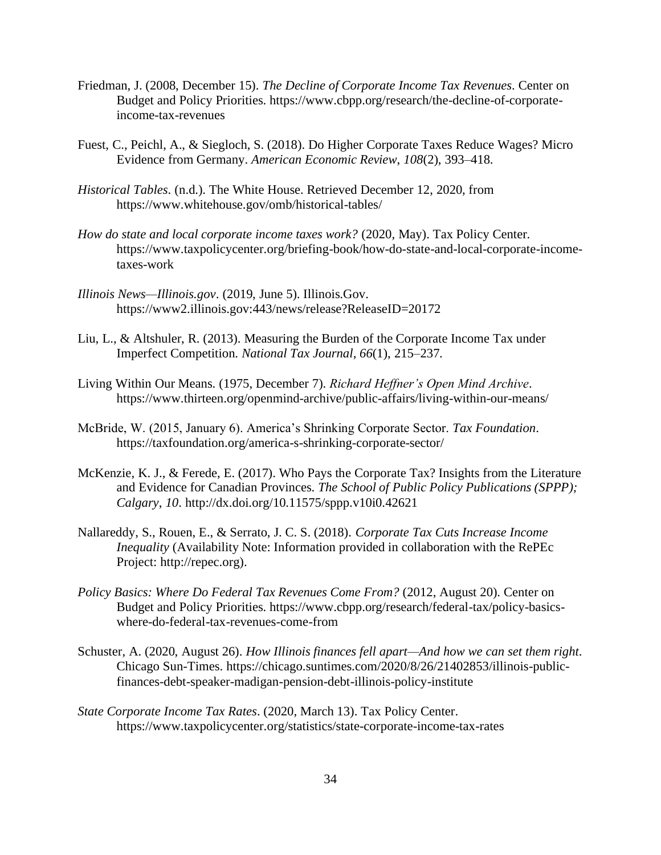- Friedman, J. (2008, December 15). *The Decline of Corporate Income Tax Revenues*. Center on Budget and Policy Priorities. https://www.cbpp.org/research/the-decline-of-corporateincome-tax-revenues
- Fuest, C., Peichl, A., & Siegloch, S. (2018). Do Higher Corporate Taxes Reduce Wages? Micro Evidence from Germany. *American Economic Review*, *108*(2), 393–418.
- *Historical Tables*. (n.d.). The White House. Retrieved December 12, 2020, from https://www.whitehouse.gov/omb/historical-tables/
- *How do state and local corporate income taxes work?* (2020, May). Tax Policy Center. https://www.taxpolicycenter.org/briefing-book/how-do-state-and-local-corporate-incometaxes-work
- *Illinois News—Illinois.gov*. (2019, June 5). Illinois.Gov. https://www2.illinois.gov:443/news/release?ReleaseID=20172
- Liu, L., & Altshuler, R. (2013). Measuring the Burden of the Corporate Income Tax under Imperfect Competition. *National Tax Journal*, *66*(1), 215–237.
- Living Within Our Means. (1975, December 7). *Richard Heffner's Open Mind Archive*. https://www.thirteen.org/openmind-archive/public-affairs/living-within-our-means/
- McBride, W. (2015, January 6). America's Shrinking Corporate Sector. *Tax Foundation*. https://taxfoundation.org/america-s-shrinking-corporate-sector/
- McKenzie, K. J., & Ferede, E. (2017). Who Pays the Corporate Tax? Insights from the Literature and Evidence for Canadian Provinces. *The School of Public Policy Publications (SPPP); Calgary*, *10*. http://dx.doi.org/10.11575/sppp.v10i0.42621
- Nallareddy, S., Rouen, E., & Serrato, J. C. S. (2018). *Corporate Tax Cuts Increase Income Inequality* (Availability Note: Information provided in collaboration with the RePEc Project: http://repec.org).
- *Policy Basics: Where Do Federal Tax Revenues Come From?* (2012, August 20). Center on Budget and Policy Priorities. https://www.cbpp.org/research/federal-tax/policy-basicswhere-do-federal-tax-revenues-come-from
- Schuster, A. (2020, August 26). *How Illinois finances fell apart—And how we can set them right*. Chicago Sun-Times. https://chicago.suntimes.com/2020/8/26/21402853/illinois-publicfinances-debt-speaker-madigan-pension-debt-illinois-policy-institute
- *State Corporate Income Tax Rates*. (2020, March 13). Tax Policy Center. https://www.taxpolicycenter.org/statistics/state-corporate-income-tax-rates